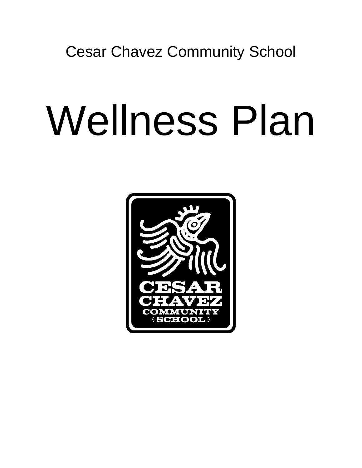Cesar Chavez Community School

# Wellness Plan

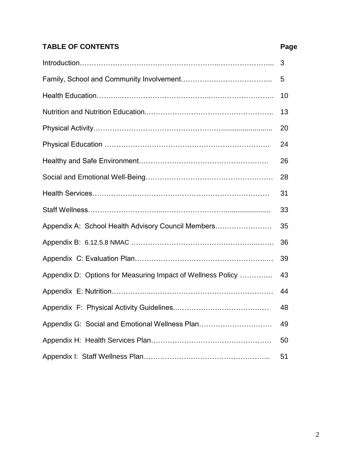# **TABLE OF CONTENTS Page**

|                                                             | 3  |  |  |
|-------------------------------------------------------------|----|--|--|
|                                                             |    |  |  |
|                                                             | 10 |  |  |
|                                                             | 13 |  |  |
|                                                             | 20 |  |  |
|                                                             | 24 |  |  |
|                                                             | 26 |  |  |
|                                                             | 28 |  |  |
|                                                             | 31 |  |  |
|                                                             | 33 |  |  |
| Appendix A: School Health Advisory Council Members          | 35 |  |  |
|                                                             | 36 |  |  |
|                                                             | 39 |  |  |
| Appendix D: Options for Measuring Impact of Wellness Policy | 43 |  |  |
|                                                             | 44 |  |  |
|                                                             | 48 |  |  |
| Appendix G: Social and Emotional Wellness Plan              | 49 |  |  |
|                                                             | 50 |  |  |
|                                                             | 51 |  |  |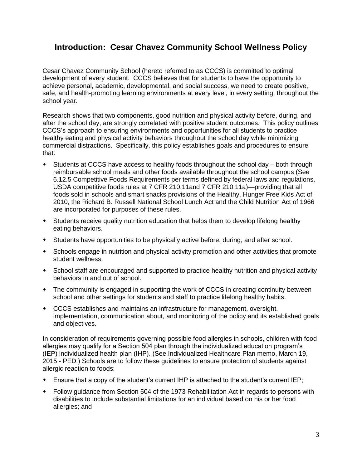# **Introduction: Cesar Chavez Community School Wellness Policy**

Cesar Chavez Community School (hereto referred to as CCCS) is committed to optimal development of every student. CCCS believes that for students to have the opportunity to achieve personal, academic, developmental, and social success, we need to create positive, safe, and health-promoting learning environments at every level, in every setting, throughout the school year.

Research shows that two components, good nutrition and physical activity before, during, and after the school day, are strongly correlated with positive student outcomes. This policy outlines CCCS's approach to ensuring environments and opportunities for all students to practice healthy eating and physical activity behaviors throughout the school day while minimizing commercial distractions. Specifically, this policy establishes goals and procedures to ensure that:

- Students at CCCS have access to healthy foods throughout the school day both through reimbursable school meals and other foods available throughout the school campus (See 6.12.5 Competitive Foods Requirements per terms defined by federal laws and regulations, USDA competitive foods rules at 7 CFR 210.11and 7 CFR 210.11a)—providing that all foods sold in schools and smart snacks provisions of the Healthy, Hunger Free Kids Act of 2010, the Richard B. Russell National School Lunch Act and the Child Nutrition Act of 1966 are incorporated for purposes of these rules.
- Students receive quality nutrition education that helps them to develop lifelong healthy eating behaviors.
- Students have opportunities to be physically active before, during, and after school.
- Schools engage in nutrition and physical activity promotion and other activities that promote student wellness.
- School staff are encouraged and supported to practice healthy nutrition and physical activity behaviors in and out of school.
- The community is engaged in supporting the work of CCCS in creating continuity between school and other settings for students and staff to practice lifelong healthy habits.
- CCCS establishes and maintains an infrastructure for management, oversight, implementation, communication about, and monitoring of the policy and its established goals and objectives.

In consideration of requirements governing possible food allergies in schools, children with food allergies may qualify for a Section 504 plan through the individualized education program's (IEP) individualized health plan (IHP). (See Individualized Healthcare Plan memo, March 19, 2015 - PED.) Schools are to follow these guidelines to ensure protection of students against allergic reaction to foods:

- Ensure that a copy of the student's current IHP is attached to the student's current IEP;
- Follow guidance from Section 504 of the 1973 Rehabilitation Act in regards to persons with disabilities to include substantial limitations for an individual based on his or her food allergies; and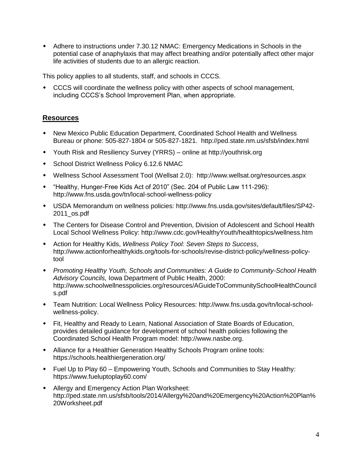Adhere to instructions under 7.30.12 NMAC: Emergency Medications in Schools in the potential case of anaphylaxis that may affect breathing and/or potentially affect other major life activities of students due to an allergic reaction.

This policy applies to all students, staff, and schools in CCCS.

 CCCS will coordinate the wellness policy with other aspects of school management, including CCCS's School Improvement Plan, when appropriate.

- New Mexico Public Education Department, Coordinated School Health and Wellness Bureau or phone: 505-827-1804 or 505-827-1821. http://ped.state.nm.us/sfsb/index.html
- Youth Risk and Resiliency Survey (YRRS) online at http://youthrisk.org
- School District Wellness Policy 6.12.6 NMAC
- Wellness School Assessment Tool (Wellsat 2.0): http://www.wellsat.org/resources.aspx
- "Healthy, Hunger-Free Kids Act of 2010" (Sec. 204 of Public Law 111-296): http://www.fns.usda.gov/tn/local-school-wellness-policy
- USDA Memorandum on wellness policies: http://www.fns.usda.gov/sites/default/files/SP42- 2011\_os.pdf
- The Centers for Disease Control and Prevention, Division of Adolescent and School Health Local School Wellness Policy: http://www.cdc.gov/HealthyYouth/healthtopics/wellness.htm
- Action for Healthy Kids, *Wellness Policy Tool: Seven Steps to Success*, http://www.actionforhealthykids.org/tools-for-schools/revise-district-policy/wellness-policytool
- *Promoting Healthy Youth, Schools and Communities: A Guide to Community-School Health Advisory Councils,* Iowa Department of Public Health, 2000: http://www.schoolwellnesspolicies.org/resources/AGuideToCommunitySchoolHealthCouncil s.pdf
- Team Nutrition: Local Wellness Policy Resources: http://www.fns.usda.gov/tn/local-schoolwellness-policy.
- Fit, Healthy and Ready to Learn, National Association of State Boards of Education, provides detailed guidance for development of school health policies following the Coordinated School Health Program model: http://www.nasbe.org.
- Alliance for a Healthier Generation Healthy Schools Program online tools: https://schools.healthiergeneration.org/
- Fuel Up to Play 60 Empowering Youth, Schools and Communities to Stay Healthy: https://www.fueluptoplay60.com/
- Allergy and Emergency Action Plan Worksheet: http://ped.state.nm.us/sfsb/tools/2014/Allergy%20and%20Emergency%20Action%20Plan% 20Worksheet.pdf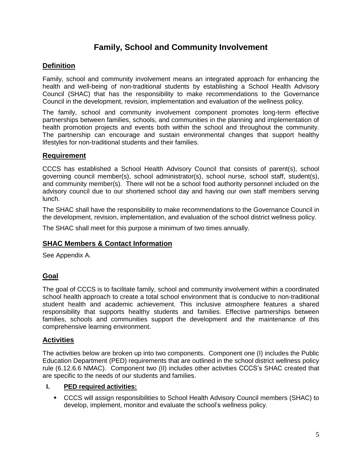# **Family, School and Community Involvement**

#### **Definition**

Family, school and community involvement means an integrated approach for enhancing the health and well-being of non-traditional students by establishing a School Health Advisory Council (SHAC) that has the responsibility to make recommendations to the Governance Council in the development, revision, implementation and evaluation of the wellness policy.

The family, school and community involvement component promotes long-term effective partnerships between families, schools, and communities in the planning and implementation of health promotion projects and events both within the school and throughout the community. The partnership can encourage and sustain environmental changes that support healthy lifestyles for non-traditional students and their families.

#### **Requirement**

CCCS has established a School Health Advisory Council that consists of parent(s), school governing council member(s), school administrator(s), school nurse, school staff, student(s), and community member(s). There will not be a school food authority personnel included on the advisory council due to our shortened school day and having our own staff members serving lunch.

The SHAC shall have the responsibility to make recommendations to the Governance Council in the development, revision, implementation, and evaluation of the school district wellness policy.

The SHAC shall meet for this purpose a minimum of two times annually.

#### **SHAC Members & Contact Information**

See Appendix A.

#### **Goal**

The goal of CCCS is to facilitate family, school and community involvement within a coordinated school health approach to create a total school environment that is conducive to non-traditional student health and academic achievement. This inclusive atmosphere features a shared responsibility that supports healthy students and families. Effective partnerships between families, schools and communities support the development and the maintenance of this comprehensive learning environment.

#### **Activities**

The activities below are broken up into two components. Component one (I) includes the Public Education Department (PED) requirements that are outlined in the school district wellness policy rule (6.12.6.6 NMAC). Component two (II) includes other activities CCCS's SHAC created that are specific to the needs of our students and families.

#### **I. PED required activities:**

 CCCS will assign responsibilities to School Health Advisory Council members (SHAC) to develop, implement, monitor and evaluate the school's wellness policy.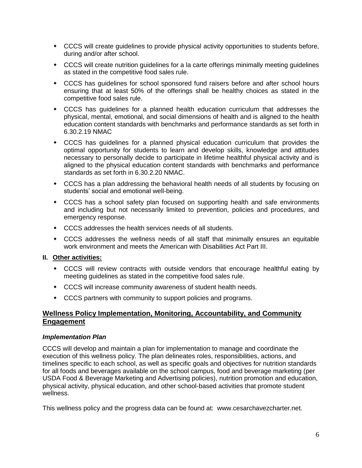- CCCS will create guidelines to provide physical activity opportunities to students before, during and/or after school.
- CCCS will create nutrition guidelines for a la carte offerings minimally meeting guidelines as stated in the competitive food sales rule.
- CCCS has guidelines for school sponsored fund raisers before and after school hours ensuring that at least 50% of the offerings shall be healthy choices as stated in the competitive food sales rule.
- CCCS has guidelines for a planned health education curriculum that addresses the physical, mental, emotional, and social dimensions of health and is aligned to the health education content standards with benchmarks and performance standards as set forth in 6.30.2.19 NMAC
- CCCS has guidelines for a planned physical education curriculum that provides the optimal opportunity for students to learn and develop skills, knowledge and attitudes necessary to personally decide to participate in lifetime healthful physical activity and is aligned to the physical education content standards with benchmarks and performance standards as set forth in 6.30.2.20 NMAC.
- CCCS has a plan addressing the behavioral health needs of all students by focusing on students' social and emotional well-being.
- CCCS has a school safety plan focused on supporting health and safe environments and including but not necessarily limited to prevention, policies and procedures, and emergency response.
- CCCS addresses the health services needs of all students.
- CCCS addresses the wellness needs of all staff that minimally ensures an equitable work environment and meets the American with Disabilities Act Part III.

#### **II. Other activities:**

- CCCS will review contracts with outside vendors that encourage healthful eating by meeting guidelines as stated in the competitive food sales rule.
- CCCS will increase community awareness of student health needs.
- CCCS partners with community to support policies and programs.

#### **Wellness Policy Implementation, Monitoring, Accountability, and Community Engagement**

#### *Implementation Plan*

CCCS will develop and maintain a plan for implementation to manage and coordinate the execution of this wellness policy. The plan delineates roles, responsibilities, actions, and timelines specific to each school, as well as specific goals and objectives for nutrition standards for all foods and beverages available on the school campus, food and beverage marketing (per USDA Food & Beverage Marketing and Advertising policies), nutrition promotion and education, physical activity, physical education, and other school-based activities that promote student wellness.

This wellness policy and the progress data can be found at: www.cesarchavezcharter.net.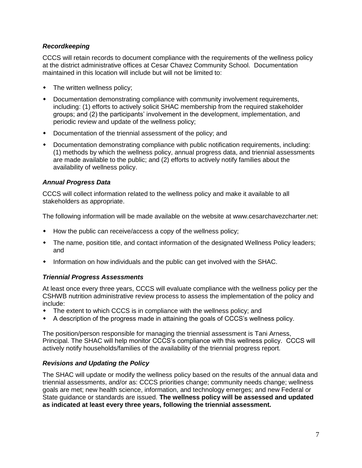#### *Recordkeeping*

CCCS will retain records to document compliance with the requirements of the wellness policy at the district administrative offices at Cesar Chavez Community School. Documentation maintained in this location will include but will not be limited to:

- The written wellness policy;
- Documentation demonstrating compliance with community involvement requirements, including: (1) efforts to actively solicit SHAC membership from the required stakeholder groups; and (2) the participants' involvement in the development, implementation, and periodic review and update of the wellness policy;
- Documentation of the triennial assessment of the policy; and
- Documentation demonstrating compliance with public notification requirements, including: (1) methods by which the wellness policy, annual progress data, and triennial assessments are made available to the public; and (2) efforts to actively notify families about the availability of wellness policy.

#### *Annual Progress Data*

CCCS will collect information related to the wellness policy and make it available to all stakeholders as appropriate.

The following information will be made available on the website at www.cesarchavezcharter.net:

- How the public can receive/access a copy of the wellness policy;
- The name, position title, and contact information of the designated Wellness Policy leaders; and
- Information on how individuals and the public can get involved with the SHAC.

#### *Triennial Progress Assessments*

At least once every three years, CCCS will evaluate compliance with the wellness policy per the CSHWB nutrition administrative review process to assess the implementation of the policy and include:

- The extent to which CCCS is in compliance with the wellness policy; and
- A description of the progress made in attaining the goals of CCCS's wellness policy.

The position/person responsible for managing the triennial assessment is Tani Arness, Principal. The SHAC will help monitor CCCS's compliance with this wellness policy. CCCS will actively notify households/families of the availability of the triennial progress report.

#### *Revisions and Updating the Policy*

The SHAC will update or modify the wellness policy based on the results of the annual data and triennial assessments, and/or as: CCCS priorities change; community needs change; wellness goals are met; new health science, information, and technology emerges; and new Federal or State guidance or standards are issued. **The wellness policy will be assessed and updated as indicated at least every three years, following the triennial assessment.**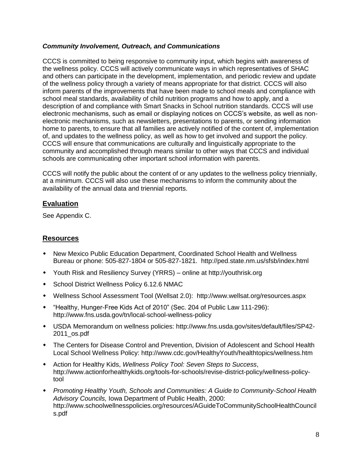#### *Community Involvement, Outreach, and Communications*

CCCS is committed to being responsive to community input, which begins with awareness of the wellness policy. CCCS will actively communicate ways in which representatives of SHAC and others can participate in the development, implementation, and periodic review and update of the wellness policy through a variety of means appropriate for that district. CCCS will also inform parents of the improvements that have been made to school meals and compliance with school meal standards, availability of child nutrition programs and how to apply, and a description of and compliance with Smart Snacks in School nutrition standards. CCCS will use electronic mechanisms, such as email or displaying notices on CCCS's website, as well as nonelectronic mechanisms, such as newsletters, presentations to parents, or sending information home to parents, to ensure that all families are actively notified of the content of, implementation of, and updates to the wellness policy, as well as how to get involved and support the policy. CCCS will ensure that communications are culturally and linguistically appropriate to the community and accomplished through means similar to other ways that CCCS and individual schools are communicating other important school information with parents.

CCCS will notify the public about the content of or any updates to the wellness policy triennially, at a minimum. CCCS will also use these mechanisms to inform the community about the availability of the annual data and triennial reports.

#### **Evaluation**

See Appendix C.

- New Mexico Public Education Department, Coordinated School Health and Wellness Bureau or phone: 505-827-1804 or 505-827-1821. http://ped.state.nm.us/sfsb/index.html
- Youth Risk and Resiliency Survey (YRRS) online at http://youthrisk.org
- **\*** School District Wellness Policy 6.12.6 NMAC
- Wellness School Assessment Tool (Wellsat 2.0): http://www.wellsat.org/resources.aspx
- "Healthy, Hunger-Free Kids Act of 2010" (Sec. 204 of Public Law 111-296): http://www.fns.usda.gov/tn/local-school-wellness-policy
- USDA Memorandum on wellness policies: http://www.fns.usda.gov/sites/default/files/SP42- 2011\_os.pdf
- The Centers for Disease Control and Prevention, Division of Adolescent and School Health Local School Wellness Policy: http://www.cdc.gov/HealthyYouth/healthtopics/wellness.htm
- Action for Healthy Kids, *Wellness Policy Tool: Seven Steps to Success*, http://www.actionforhealthykids.org/tools-for-schools/revise-district-policy/wellness-policytool
- *Promoting Healthy Youth, Schools and Communities: A Guide to Community-School Health Advisory Councils,* Iowa Department of Public Health, 2000: http://www.schoolwellnesspolicies.org/resources/AGuideToCommunitySchoolHealthCouncil s.pdf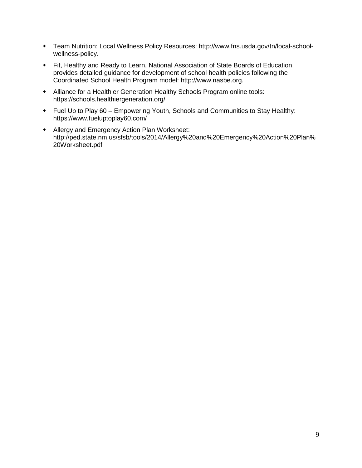- Team Nutrition: Local Wellness Policy Resources: http://www.fns.usda.gov/tn/local-schoolwellness-policy.
- Fit, Healthy and Ready to Learn, National Association of State Boards of Education, provides detailed guidance for development of school health policies following the Coordinated School Health Program model: http://www.nasbe.org.
- Alliance for a Healthier Generation Healthy Schools Program online tools: https://schools.healthiergeneration.org/
- Fuel Up to Play 60 Empowering Youth, Schools and Communities to Stay Healthy: https://www.fueluptoplay60.com/
- Allergy and Emergency Action Plan Worksheet: http://ped.state.nm.us/sfsb/tools/2014/Allergy%20and%20Emergency%20Action%20Plan% 20Worksheet.pdf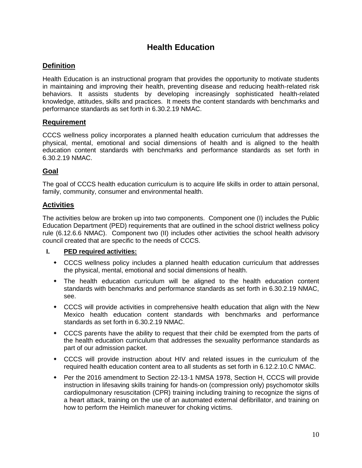# **Health Education**

#### **Definition**

Health Education is an instructional program that provides the opportunity to motivate students in maintaining and improving their health, preventing disease and reducing health-related risk behaviors. It assists students by developing increasingly sophisticated health-related knowledge, attitudes, skills and practices. It meets the content standards with benchmarks and performance standards as set forth in 6.30.2.19 NMAC.

#### **Requirement**

CCCS wellness policy incorporates a planned health education curriculum that addresses the physical, mental, emotional and social dimensions of health and is aligned to the health education content standards with benchmarks and performance standards as set forth in 6.30.2.19 NMAC.

#### **Goal**

The goal of CCCS health education curriculum is to acquire life skills in order to attain personal, family, community, consumer and environmental health.

#### **Activities**

The activities below are broken up into two components. Component one (I) includes the Public Education Department (PED) requirements that are outlined in the school district wellness policy rule (6.12.6.6 NMAC). Component two (II) includes other activities the school health advisory council created that are specific to the needs of CCCS.

#### **I. PED required activities:**

- CCCS wellness policy includes a planned health education curriculum that addresses the physical, mental, emotional and social dimensions of health.
- The health education curriculum will be aligned to the health education content standards with benchmarks and performance standards as set forth in 6.30.2.19 NMAC, see.
- CCCS will provide activities in comprehensive health education that align with the New Mexico health education content standards with benchmarks and performance standards as set forth in 6.30.2.19 NMAC.
- CCCS parents have the ability to request that their child be exempted from the parts of the health education curriculum that addresses the sexuality performance standards as part of our admission packet.
- CCCS will provide instruction about HIV and related issues in the curriculum of the required health education content area to all students as set forth in 6.12.2.10.C NMAC.
- Per the 2016 amendment to Section 22-13-1 NMSA 1978, Section H, CCCS will provide instruction in lifesaving skills training for hands-on (compression only) psychomotor skills cardiopulmonary resuscitation (CPR) training including training to recognize the signs of a heart attack, training on the use of an automated external defibrillator, and training on how to perform the Heimlich maneuver for choking victims.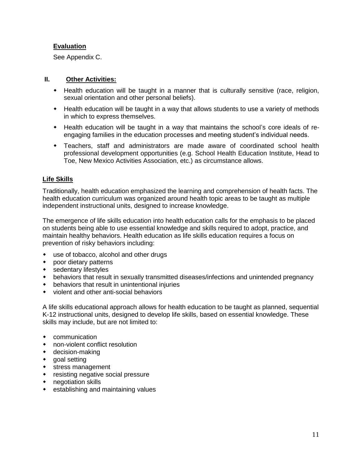#### **Evaluation**

See Appendix C.

#### **II. Other Activities:**

- Health education will be taught in a manner that is culturally sensitive (race, religion, sexual orientation and other personal beliefs).
- Health education will be taught in a way that allows students to use a variety of methods in which to express themselves.
- Health education will be taught in a way that maintains the school's core ideals of reengaging families in the education processes and meeting student's individual needs.
- Teachers, staff and administrators are made aware of coordinated school health professional development opportunities (e.g. School Health Education Institute, Head to Toe, New Mexico Activities Association, etc.) as circumstance allows.

#### **Life Skills**

Traditionally, health education emphasized the learning and comprehension of health facts. The health education curriculum was organized around health topic areas to be taught as multiple independent instructional units, designed to increase knowledge.

The emergence of life skills education into health education calls for the emphasis to be placed on students being able to use essential knowledge and skills required to adopt, practice, and maintain healthy behaviors. Health education as life skills education requires a focus on prevention of risky behaviors including:

- use of tobacco, alcohol and other drugs
- poor dietary patterns
- sedentary lifestyles
- behaviors that result in sexually transmitted diseases/infections and unintended pregnancy
- behaviors that result in unintentional injuries
- violent and other anti-social behaviors

A life skills educational approach allows for health education to be taught as planned, sequential K-12 instructional units, designed to develop life skills, based on essential knowledge. These skills may include, but are not limited to:

- communication
- non-violent conflict resolution
- decision-making
- goal setting
- stress management
- resisting negative social pressure
- negotiation skills
- **•** establishing and maintaining values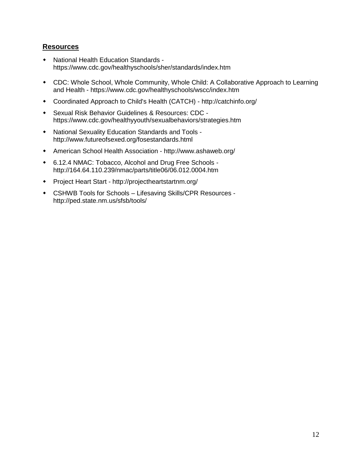- National Health Education Standards https://www.cdc.gov/healthyschools/sher/standards/index.htm
- CDC: Whole School, Whole Community, Whole Child: A Collaborative Approach to Learning and Health - https://www.cdc.gov/healthyschools/wscc/index.htm
- Coordinated Approach to Child's Health (CATCH) http://catchinfo.org/
- Sexual Risk Behavior Guidelines & Resources: CDC https://www.cdc.gov/healthyyouth/sexualbehaviors/strategies.htm
- National Sexuality Education Standards and Tools http://www.futureofsexed.org/fosestandards.html
- American School Health Association http://www.ashaweb.org/
- 6.12.4 NMAC: Tobacco, Alcohol and Drug Free Schools http://164.64.110.239/nmac/parts/title06/06.012.0004.htm
- Project Heart Start http://projectheartstartnm.org/
- CSHWB Tools for Schools Lifesaving Skills/CPR Resources http://ped.state.nm.us/sfsb/tools/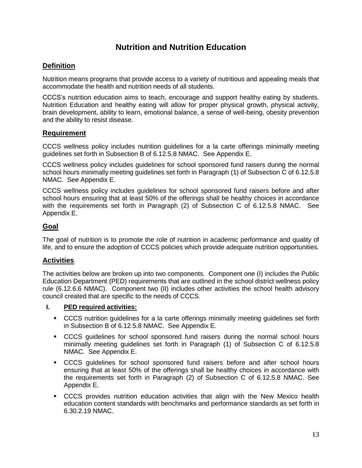# **Nutrition and Nutrition Education**

#### **Definition**

Nutrition means programs that provide access to a variety of nutritious and appealing meals that accommodate the health and nutrition needs of all students.

CCCS's nutrition education aims to teach, encourage and support healthy eating by students. Nutrition Education and healthy eating will allow for proper physical growth, physical activity, brain development, ability to learn, emotional balance, a sense of well-being, obesity prevention and the ability to resist disease.

#### **Requirement**

CCCS wellness policy includes nutrition guidelines for a la carte offerings minimally meeting guidelines set forth in Subsection B of 6.12.5.8 NMAC. See Appendix E.

CCCS wellness policy includes guidelines for school sponsored fund raisers during the normal school hours minimally meeting guidelines set forth in Paragraph (1) of Subsection C of 6.12.5.8 NMAC. See Appendix E.

CCCS wellness policy includes guidelines for school sponsored fund raisers before and after school hours ensuring that at least 50% of the offerings shall be healthy choices in accordance with the requirements set forth in Paragraph (2) of Subsection C of 6.12.5.8 NMAC. See Appendix E.

#### **Goal**

The goal of nutrition is to promote the role of nutrition in academic performance and quality of life, and to ensure the adoption of CCCS policies which provide adequate nutrition opportunities.

#### **Activities**

The activities below are broken up into two components. Component one (I) includes the Public Education Department (PED) requirements that are outlined in the school district wellness policy rule (6.12.6.6 NMAC). Component two (II) includes other activities the school health advisory council created that are specific to the needs of CCCS.

#### **I. PED required activities:**

- CCCS nutrition guidelines for a la carte offerings minimally meeting guidelines set forth in Subsection B of 6.12.5.8 NMAC. See Appendix E.
- CCCS guidelines for school sponsored fund raisers during the normal school hours minimally meeting guidelines set forth in Paragraph (1) of Subsection C of 6.12.5.8 NMAC. See Appendix E.
- CCCS guidelines for school sponsored fund raisers before and after school hours ensuring that at least 50% of the offerings shall be healthy choices in accordance with the requirements set forth in Paragraph (2) of Subsection C of 6.12.5.8 NMAC. See Appendix E.
- CCCS provides nutrition education activities that align with the New Mexico health education content standards with benchmarks and performance standards as set forth in 6.30.2.19 NMAC.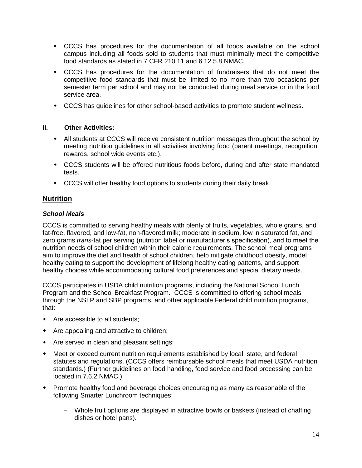- CCCS has procedures for the documentation of all foods available on the school campus including all foods sold to students that must minimally meet the competitive food standards as stated in 7 CFR 210.11 and 6.12.5.8 NMAC.
- CCCS has procedures for the documentation of fundraisers that do not meet the competitive food standards that must be limited to no more than two occasions per semester term per school and may not be conducted during meal service or in the food service area.
- CCCS has guidelines for other school-based activities to promote student wellness.

#### **II. Other Activities:**

- All students at CCCS will receive consistent nutrition messages throughout the school by meeting nutrition guidelines in all activities involving food (parent meetings, recognition, rewards, school wide events etc.).
- CCCS students will be offered nutritious foods before, during and after state mandated tests.
- CCCS will offer healthy food options to students during their daily break.

#### **Nutrition**

#### *School Meals*

CCCS is committed to serving healthy meals with plenty of fruits, vegetables, whole grains, and fat-free, flavored, and low-fat, non-flavored milk; moderate in sodium, low in saturated fat, and zero grams *trans*-fat per serving (nutrition label or manufacturer's specification), and to meet the nutrition needs of school children within their calorie requirements. The school meal programs aim to improve the diet and health of school children, help mitigate childhood obesity, model healthy eating to support the development of lifelong healthy eating patterns, and support healthy choices while accommodating cultural food preferences and special dietary needs.

CCCS participates in USDA child nutrition programs, including the National School Lunch Program and the School Breakfast Program. CCCS is committed to offering school meals through the NSLP and SBP programs, and other applicable Federal child nutrition programs, that:

- Are accessible to all students;
- Are appealing and attractive to children;
- Are served in clean and pleasant settings;
- Meet or exceed current nutrition requirements established by local, state, and federal statutes and regulations. (CCCS offers reimbursable school meals that meet USDA nutrition standards.) (Further guidelines on food handling, food service and food processing can be located in 7.6.2 NMAC.)
- Promote healthy food and beverage choices encouraging as many as reasonable of the following Smarter Lunchroom techniques:
	- − Whole fruit options are displayed in attractive bowls or baskets (instead of chaffing dishes or hotel pans).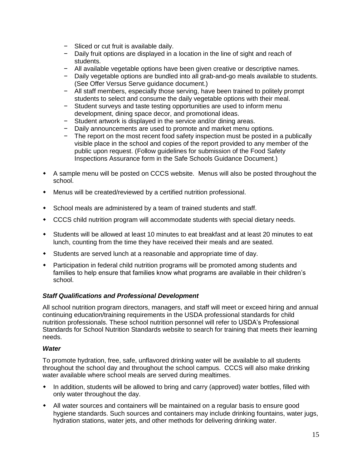- − Sliced or cut fruit is available daily.
- − Daily fruit options are displayed in a location in the line of sight and reach of students.
- − All available vegetable options have been given creative or descriptive names.
- − Daily vegetable options are bundled into all grab-and-go meals available to students. (See Offer Versus Serve guidance document.)
- − All staff members, especially those serving, have been trained to politely prompt students to select and consume the daily vegetable options with their meal.
- − Student surveys and taste testing opportunities are used to inform menu development, dining space decor, and promotional ideas.
- − Student artwork is displayed in the service and/or dining areas.
- − Daily announcements are used to promote and market menu options.
- − The report on the most recent food safety inspection must be posted in a publically visible place in the school and copies of the report provided to any member of the public upon request. (Follow guidelines for submission of the Food Safety Inspections Assurance form in the Safe Schools Guidance Document.)
- A sample menu will be posted on CCCS website. Menus will also be posted throughout the school.
- Menus will be created/reviewed by a certified nutrition professional.
- School meals are administered by a team of trained students and staff.
- CCCS child nutrition program will accommodate students with special dietary needs.
- Students will be allowed at least 10 minutes to eat breakfast and at least 20 minutes to eat lunch, counting from the time they have received their meals and are seated.
- Students are served lunch at a reasonable and appropriate time of day.
- Participation in federal child nutrition programs will be promoted among students and families to help ensure that families know what programs are available in their children's school.

#### *Staff Qualifications and Professional Development*

All school nutrition program directors, managers, and staff will meet or exceed hiring and annual continuing education/training requirements in the USDA professional standards for child nutrition professionals. These school nutrition personnel will refer to USDA's Professional Standards for School Nutrition Standards website to search for training that meets their learning needs.

#### *Water*

To promote hydration, free, safe, unflavored drinking water will be available to all students throughout the school day and throughout the school campus. CCCS will also make drinking water available where school meals are served during mealtimes.

- In addition, students will be allowed to bring and carry (approved) water bottles, filled with only water throughout the day.
- All water sources and containers will be maintained on a regular basis to ensure good hygiene standards. Such sources and containers may include drinking fountains, water jugs, hydration stations, water jets, and other methods for delivering drinking water.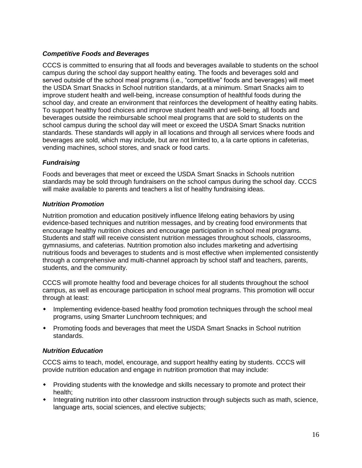#### *Competitive Foods and Beverages*

CCCS is committed to ensuring that all foods and beverages available to students on the school campus during the school day support healthy eating. The foods and beverages sold and served outside of the school meal programs (i.e., "competitive" foods and beverages) will meet the USDA Smart Snacks in School nutrition standards, at a minimum. Smart Snacks aim to improve student health and well-being, increase consumption of healthful foods during the school day, and create an environment that reinforces the development of healthy eating habits. To support healthy food choices and improve student health and well-being, all foods and beverages outside the reimbursable school meal programs that are sold to students on the school campus during the school day will meet or exceed the USDA Smart Snacks nutrition standards. These standards will apply in all locations and through all services where foods and beverages are sold, which may include, but are not limited to, a la carte options in cafeterias, vending machines, school stores, and snack or food carts.

#### *Fundraising*

Foods and beverages that meet or exceed the USDA Smart Snacks in Schools nutrition standards may be sold through fundraisers on the school campus during the school day. CCCS will make available to parents and teachers a list of healthy fundraising ideas.

#### *Nutrition Promotion*

Nutrition promotion and education positively influence lifelong eating behaviors by using evidence-based techniques and nutrition messages, and by creating food environments that encourage healthy nutrition choices and encourage participation in school meal programs. Students and staff will receive consistent nutrition messages throughout schools, classrooms, gymnasiums, and cafeterias. Nutrition promotion also includes marketing and advertising nutritious foods and beverages to students and is most effective when implemented consistently through a comprehensive and multi-channel approach by school staff and teachers, parents, students, and the community.

CCCS will promote healthy food and beverage choices for all students throughout the school campus, as well as encourage participation in school meal programs. This promotion will occur through at least:

- Implementing evidence-based healthy food promotion techniques through the school meal programs, using Smarter Lunchroom techniques; and
- Promoting foods and beverages that meet the USDA Smart Snacks in School nutrition standards.

#### *Nutrition Education*

CCCS aims to teach, model, encourage, and support healthy eating by students. CCCS will provide nutrition education and engage in nutrition promotion that may include:

- Providing students with the knowledge and skills necessary to promote and protect their health;
- Integrating nutrition into other classroom instruction through subjects such as math, science, language arts, social sciences, and elective subjects;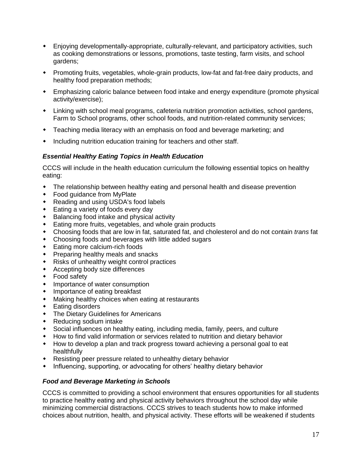- Enjoying developmentally-appropriate, culturally-relevant, and participatory activities, such as cooking demonstrations or lessons, promotions, taste testing, farm visits, and school gardens;
- Promoting fruits, vegetables, whole-grain products, low-fat and fat-free dairy products, and healthy food preparation methods;
- Emphasizing caloric balance between food intake and energy expenditure (promote physical activity/exercise);
- Linking with school meal programs, cafeteria nutrition promotion activities, school gardens, Farm to School programs, other school foods, and nutrition-related community services;
- Teaching media literacy with an emphasis on food and beverage marketing; and
- Including nutrition education training for teachers and other staff.

#### *Essential Healthy Eating Topics in Health Education*

CCCS will include in the health education curriculum the following essential topics on healthy eating:

- The relationship between healthy eating and personal health and disease prevention
- Food guidance from MyPlate
- Reading and using USDA's food labels
- Eating a variety of foods every day
- Balancing food intake and physical activity
- Eating more fruits, vegetables, and whole grain products
- Choosing foods that are low in fat, saturated fat, and cholesterol and do not contain *trans* fat
- Choosing foods and beverages with little added sugars
- Eating more calcium-rich foods
- Preparing healthy meals and snacks
- Risks of unhealthy weight control practices
- Accepting body size differences
- ◆ Food safety
- Importance of water consumption
- Importance of eating breakfast
- Making healthy choices when eating at restaurants
- Eating disorders
- The Dietary Guidelines for Americans
- Reducing sodium intake
- Social influences on healthy eating, including media, family, peers, and culture
- How to find valid information or services related to nutrition and dietary behavior
- How to develop a plan and track progress toward achieving a personal goal to eat healthfully
- Resisting peer pressure related to unhealthy dietary behavior
- Influencing, supporting, or advocating for others' healthy dietary behavior

#### *Food and Beverage Marketing in Schools*

CCCS is committed to providing a school environment that ensures opportunities for all students to practice healthy eating and physical activity behaviors throughout the school day while minimizing commercial distractions. CCCS strives to teach students how to make informed choices about nutrition, health, and physical activity. These efforts will be weakened if students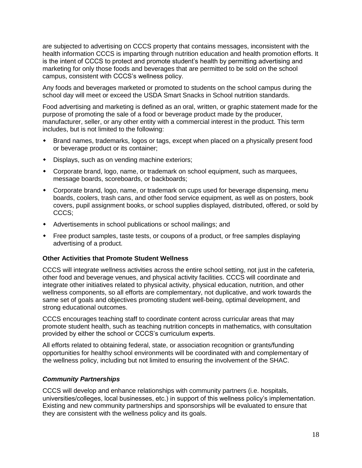are subjected to advertising on CCCS property that contains messages, inconsistent with the health information CCCS is imparting through nutrition education and health promotion efforts. It is the intent of CCCS to protect and promote student's health by permitting advertising and marketing for only those foods and beverages that are permitted to be sold on the school campus, consistent with CCCS's wellness policy.

Any foods and beverages marketed or promoted to students on the school campus during the school day will meet or exceed the USDA Smart Snacks in School nutrition standards.

Food advertising and marketing is defined as an oral, written, or graphic statement made for the purpose of promoting the sale of a food or beverage product made by the producer, manufacturer, seller, or any other entity with a commercial interest in the product. This term includes, but is not limited to the following:

- Brand names, trademarks, logos or tags, except when placed on a physically present food or beverage product or its container;
- Displays, such as on vending machine exteriors;
- Corporate brand, logo, name, or trademark on school equipment, such as marquees, message boards, scoreboards, or backboards;
- Corporate brand, logo, name, or trademark on cups used for beverage dispensing, menu boards, coolers, trash cans, and other food service equipment, as well as on posters, book covers, pupil assignment books, or school supplies displayed, distributed, offered, or sold by CCCS;
- Advertisements in school publications or school mailings; and
- Free product samples, taste tests, or coupons of a product, or free samples displaying advertising of a product.

#### **Other Activities that Promote Student Wellness**

CCCS will integrate wellness activities across the entire school setting, not just in the cafeteria, other food and beverage venues, and physical activity facilities. CCCS will coordinate and integrate other initiatives related to physical activity, physical education, nutrition, and other wellness components, so all efforts are complementary, not duplicative, and work towards the same set of goals and objectives promoting student well-being, optimal development, and strong educational outcomes.

CCCS encourages teaching staff to coordinate content across curricular areas that may promote student health, such as teaching nutrition concepts in mathematics, with consultation provided by either the school or CCCS's curriculum experts.

All efforts related to obtaining federal, state, or association recognition or grants/funding opportunities for healthy school environments will be coordinated with and complementary of the wellness policy, including but not limited to ensuring the involvement of the SHAC.

#### *Community Partnerships*

CCCS will develop and enhance relationships with community partners (i.e. hospitals, universities/colleges, local businesses, etc.) in support of this wellness policy's implementation. Existing and new community partnerships and sponsorships will be evaluated to ensure that they are consistent with the wellness policy and its goals.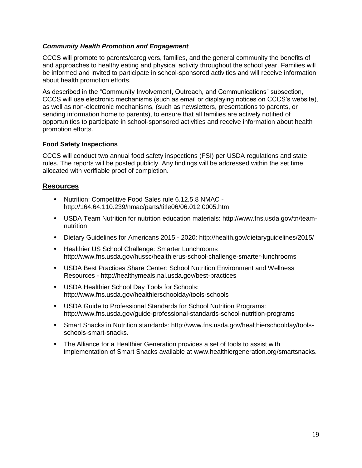#### *Community Health Promotion and Engagement*

CCCS will promote to parents/caregivers, families, and the general community the benefits of and approaches to healthy eating and physical activity throughout the school year. Families will be informed and invited to participate in school-sponsored activities and will receive information about health promotion efforts.

As described in the "Community Involvement, Outreach, and Communications" subsection*,*  CCCS will use electronic mechanisms (such as email or displaying notices on CCCS's website), as well as non-electronic mechanisms, (such as newsletters, presentations to parents, or sending information home to parents), to ensure that all families are actively notified of opportunities to participate in school-sponsored activities and receive information about health promotion efforts.

#### **Food Safety Inspections**

CCCS will conduct two annual food safety inspections (FSI) per USDA regulations and state rules. The reports will be posted publicly. Any findings will be addressed within the set time allocated with verifiable proof of completion.

- Nutrition: Competitive Food Sales rule 6.12.5.8 NMAC http://164.64.110.239/nmac/parts/title06/06.012.0005.htm
- USDA Team Nutrition for nutrition education materials: http://www.fns.usda.gov/tn/teamnutrition
- Dietary Guidelines for Americans 2015 2020: http://health.gov/dietaryguidelines/2015/
- Healthier US School Challenge: Smarter Lunchrooms http://www.fns.usda.gov/hussc/healthierus-school-challenge-smarter-lunchrooms
- USDA Best Practices Share Center: School Nutrition Environment and Wellness Resources - http://healthymeals.nal.usda.gov/best-practices
- USDA Healthier School Day Tools for Schools: http://www.fns.usda.gov/healthierschoolday/tools-schools
- USDA Guide to Professional Standards for School Nutrition Programs: http://www.fns.usda.gov/guide-professional-standards-school-nutrition-programs
- Smart Snacks in Nutrition standards: http://www.fns.usda.gov/healthierschoolday/toolsschools-smart-snacks.
- The Alliance for a Healthier Generation provides a set of tools to assist with implementation of Smart Snacks available at www.healthiergeneration.org/smartsnacks.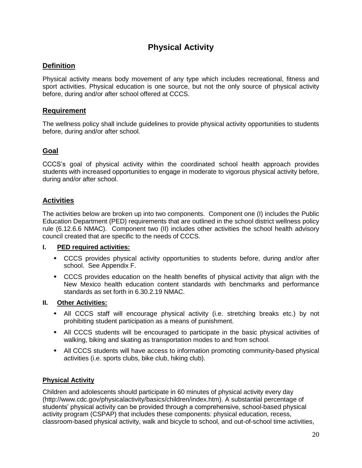# **Physical Activity**

#### **Definition**

Physical activity means body movement of any type which includes recreational, fitness and sport activities. Physical education is one source, but not the only source of physical activity before, during and/or after school offered at CCCS.

#### **Requirement**

The wellness policy shall include guidelines to provide physical activity opportunities to students before, during and/or after school.

#### **Goal**

CCCS's goal of physical activity within the coordinated school health approach provides students with increased opportunities to engage in moderate to vigorous physical activity before, during and/or after school.

#### **Activities**

The activities below are broken up into two components. Component one (I) includes the Public Education Department (PED) requirements that are outlined in the school district wellness policy rule (6.12.6.6 NMAC). Component two (II) includes other activities the school health advisory council created that are specific to the needs of CCCS.

#### **I. PED required activities:**

- CCCS provides physical activity opportunities to students before, during and/or after school. See Appendix F.
- CCCS provides education on the health benefits of physical activity that align with the New Mexico health education content standards with benchmarks and performance standards as set forth in 6.30.2.19 NMAC.

#### **II. Other Activities:**

- All CCCS staff will encourage physical activity (i.e. stretching breaks etc.) by not prohibiting student participation as a means of punishment.
- All CCCS students will be encouraged to participate in the basic physical activities of walking, biking and skating as transportation modes to and from school.
- All CCCS students will have access to information promoting community-based physical activities (i.e. sports clubs, bike club, hiking club).

#### **Physical Activity**

Children and adolescents should participate in 60 minutes of physical activity every day (http://www.cdc.gov/physicalactivity/basics/children/index.htm). A substantial percentage of students' physical activity can be provided through a comprehensive, school-based physical activity program (CSPAP) that includes these components: physical education, recess, classroom-based physical activity, walk and bicycle to school, and out-of-school time activities,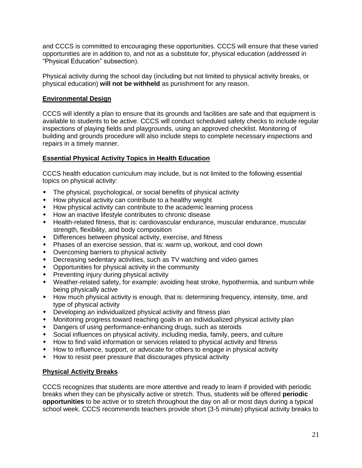and CCCS is committed to encouraging these opportunities. CCCS will ensure that these varied opportunities are in addition to, and not as a substitute for, physical education (addressed in "Physical Education" subsection).

Physical activity during the school day (including but not limited to physical activity breaks, or physical education) **will not be withheld** as punishment for any reason.

#### **Environmental Design**

CCCS will identify a plan to ensure that its grounds and facilities are safe and that equipment is available to students to be active. CCCS will conduct scheduled safety checks to include regular inspections of playing fields and playgrounds, using an approved checklist. Monitoring of building and grounds procedure will also include steps to complete necessary inspections and repairs in a timely manner.

#### **Essential Physical Activity Topics in Health Education**

CCCS health education curriculum may include, but is not limited to the following essential topics on physical activity:

- The physical, psychological, or social benefits of physical activity
- How physical activity can contribute to a healthy weight
- How physical activity can contribute to the academic learning process
- How an inactive lifestyle contributes to chronic disease
- Health-related fitness, that is: cardiovascular endurance, muscular endurance, muscular strength, flexibility, and body composition
- Differences between physical activity, exercise, and fitness
- Phases of an exercise session, that is: warm up, workout, and cool down
- Overcoming barriers to physical activity
- Decreasing sedentary activities, such as TV watching and video games
- Opportunities for physical activity in the community
- Preventing injury during physical activity
- Weather-related safety, for example: avoiding heat stroke, hypothermia, and sunburn while being physically active
- How much physical activity is enough, that is: determining frequency, intensity, time, and type of physical activity
- Developing an individualized physical activity and fitness plan
- Monitoring progress toward reaching goals in an individualized physical activity plan
- Dangers of using performance-enhancing drugs, such as steroids
- Social influences on physical activity, including media, family, peers, and culture
- How to find valid information or services related to physical activity and fitness
- How to influence, support, or advocate for others to engage in physical activity
- How to resist peer pressure that discourages physical activity

#### **Physical Activity Breaks**

CCCS recognizes that students are more attentive and ready to learn if provided with periodic breaks when they can be physically active or stretch. Thus, students will be offered **periodic opportunities** to be active or to stretch throughout the day on all or most days during a typical school week. CCCS recommends teachers provide short (3-5 minute) physical activity breaks to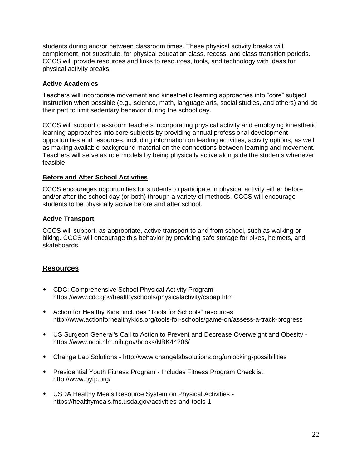students during and/or between classroom times. These physical activity breaks will complement, not substitute, for physical education class, recess, and class transition periods. CCCS will provide resources and links to resources, tools, and technology with ideas for physical activity breaks.

#### **Active Academics**

Teachers will incorporate movement and kinesthetic learning approaches into "core" subject instruction when possible (e.g., science, math, language arts, social studies, and others) and do their part to limit sedentary behavior during the school day.

CCCS will support classroom teachers incorporating physical activity and employing kinesthetic learning approaches into core subjects by providing annual professional development opportunities and resources, including information on leading activities, activity options, as well as making available background material on the connections between learning and movement. Teachers will serve as role models by being physically active alongside the students whenever feasible.

#### **Before and After School Activities**

CCCS encourages opportunities for students to participate in physical activity either before and/or after the school day (or both) through a variety of methods. CCCS will encourage students to be physically active before and after school.

#### **Active Transport**

CCCS will support, as appropriate, active transport to and from school, such as walking or biking. CCCS will encourage this behavior by providing safe storage for bikes, helmets, and skateboards.

- CDC: Comprehensive School Physical Activity Program https://www.cdc.gov/healthyschools/physicalactivity/cspap.htm
- Action for Healthy Kids: includes "Tools for Schools" resources. http://www.actionforhealthykids.org/tools-for-schools/game-on/assess-a-track-progress
- US Surgeon General's Call to Action to Prevent and Decrease Overweight and Obesity https://www.ncbi.nlm.nih.gov/books/NBK44206/
- Change Lab Solutions http://www.changelabsolutions.org/unlocking-possibilities
- Presidential Youth Fitness Program Includes Fitness Program Checklist. http://www.pyfp.org/
- USDA Healthy Meals Resource System on Physical Activities https://healthymeals.fns.usda.gov/activities-and-tools-1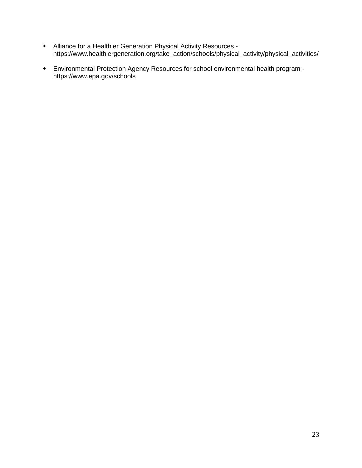- Alliance for a Healthier Generation Physical Activity Resources https://www.healthiergeneration.org/take\_action/schools/physical\_activity/physical\_activities/
- Environmental Protection Agency Resources for school environmental health program https://www.epa.gov/schools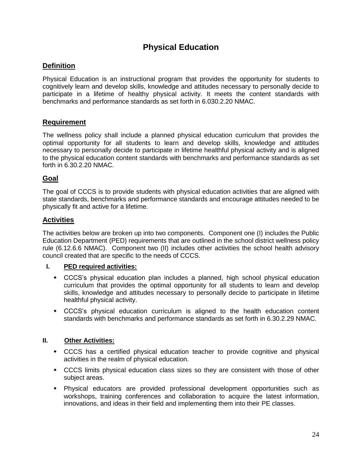# **Physical Education**

#### **Definition**

Physical Education is an instructional program that provides the opportunity for students to cognitively learn and develop skills, knowledge and attitudes necessary to personally decide to participate in a lifetime of healthy physical activity. It meets the content standards with benchmarks and performance standards as set forth in 6.030.2.20 NMAC.

#### **Requirement**

The wellness policy shall include a planned physical education curriculum that provides the optimal opportunity for all students to learn and develop skills, knowledge and attitudes necessary to personally decide to participate in lifetime healthful physical activity and is aligned to the physical education content standards with benchmarks and performance standards as set forth in 6.30.2.20 NMAC.

#### **Goal**

The goal of CCCS is to provide students with physical education activities that are aligned with state standards, benchmarks and performance standards and encourage attitudes needed to be physically fit and active for a lifetime.

#### **Activities**

The activities below are broken up into two components. Component one (I) includes the Public Education Department (PED) requirements that are outlined in the school district wellness policy rule (6.12.6.6 NMAC). Component two (II) includes other activities the school health advisory council created that are specific to the needs of CCCS.

#### **I. PED required activities:**

- CCCS's physical education plan includes a planned, high school physical education curriculum that provides the optimal opportunity for all students to learn and develop skills, knowledge and attitudes necessary to personally decide to participate in lifetime healthful physical activity.
- CCCS's physical education curriculum is aligned to the health education content standards with benchmarks and performance standards as set forth in 6.30.2.29 NMAC.

#### **II. Other Activities:**

- CCCS has a certified physical education teacher to provide cognitive and physical activities in the realm of physical education.
- CCCS limits physical education class sizes so they are consistent with those of other subject areas.
- Physical educators are provided professional development opportunities such as workshops, training conferences and collaboration to acquire the latest information, innovations, and ideas in their field and implementing them into their PE classes.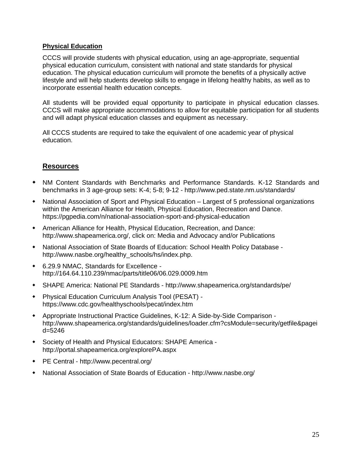#### **Physical Education**

CCCS will provide students with physical education, using an age-appropriate, sequential physical education curriculum, consistent with national and state standards for physical education. The physical education curriculum will promote the benefits of a physically active lifestyle and will help students develop skills to engage in lifelong healthy habits, as well as to incorporate essential health education concepts.

All students will be provided equal opportunity to participate in physical education classes. CCCS will make appropriate accommodations to allow for equitable participation for all students and will adapt physical education classes and equipment as necessary.

All CCCS students are required to take the equivalent of one academic year of physical education.

- NM Content Standards with Benchmarks and Performance Standards. K-12 Standards and benchmarks in 3 age-group sets: K-4; 5-8; 9-12 - http://www.ped.state.nm.us/standards/
- National Association of Sport and Physical Education Largest of 5 professional organizations within the American Alliance for Health, Physical Education, Recreation and Dance. https://pgpedia.com/n/national-association-sport-and-physical-education
- American Alliance for Health, Physical Education, Recreation, and Dance: http://www.shapeamerica.org/, click on: Media and Advocacy and/or Publications
- National Association of State Boards of Education: School Health Policy Database http://www.nasbe.org/healthy\_schools/hs/index.php.
- 6.29.9 NMAC, Standards for Excellence http://164.64.110.239/nmac/parts/title06/06.029.0009.htm
- SHAPE America: National PE Standards http://www.shapeamerica.org/standards/pe/
- Physical Education Curriculum Analysis Tool (PESAT) https://www.cdc.gov/healthyschools/pecat/index.htm
- Appropriate Instructional Practice Guidelines, K-12: A Side-by-Side Comparison http://www.shapeamerica.org/standards/guidelines/loader.cfm?csModule=security/getfile&pagei d=5246
- Society of Health and Physical Educators: SHAPE America http://portal.shapeamerica.org/explorePA.aspx
- PE Central http://www.pecentral.org/
- National Association of State Boards of Education http://www.nasbe.org/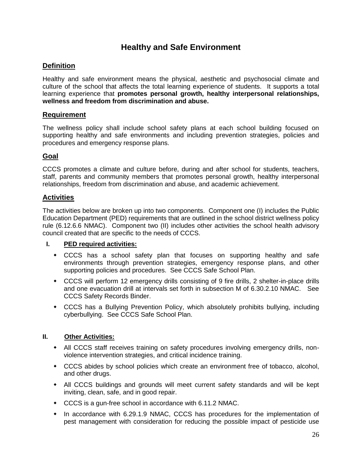# **Healthy and Safe Environment**

#### **Definition**

Healthy and safe environment means the physical, aesthetic and psychosocial climate and culture of the school that affects the total learning experience of students. It supports a total learning experience that **promotes personal growth, healthy interpersonal relationships, wellness and freedom from discrimination and abuse.**

#### **Requirement**

The wellness policy shall include school safety plans at each school building focused on supporting healthy and safe environments and including prevention strategies, policies and procedures and emergency response plans.

#### **Goal**

CCCS promotes a climate and culture before, during and after school for students, teachers, staff, parents and community members that promotes personal growth, healthy interpersonal relationships, freedom from discrimination and abuse, and academic achievement.

#### **Activities**

The activities below are broken up into two components. Component one (I) includes the Public Education Department (PED) requirements that are outlined in the school district wellness policy rule (6.12.6.6 NMAC). Component two (II) includes other activities the school health advisory council created that are specific to the needs of CCCS.

#### **I. PED required activities:**

- CCCS has a school safety plan that focuses on supporting healthy and safe environments through prevention strategies, emergency response plans, and other supporting policies and procedures. See CCCS Safe School Plan.
- CCCS will perform 12 emergency drills consisting of 9 fire drills, 2 shelter-in-place drills and one evacuation drill at intervals set forth in subsection M of 6.30.2.10 NMAC. See CCCS Safety Records Binder.
- CCCS has a Bullying Prevention Policy, which absolutely prohibits bullying, including cyberbullying. See CCCS Safe School Plan.

#### **II. Other Activities:**

- All CCCS staff receives training on safety procedures involving emergency drills, nonviolence intervention strategies, and critical incidence training.
- CCCS abides by school policies which create an environment free of tobacco, alcohol, and other drugs.
- All CCCS buildings and grounds will meet current safety standards and will be kept inviting, clean, safe, and in good repair.
- CCCS is a gun-free school in accordance with 6.11.2 NMAC.
- In accordance with 6.29.1.9 NMAC, CCCS has procedures for the implementation of pest management with consideration for reducing the possible impact of pesticide use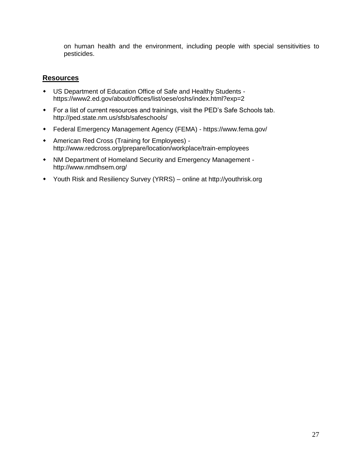on human health and the environment, including people with special sensitivities to pesticides.

- US Department of Education Office of Safe and Healthy Students https://www2.ed.gov/about/offices/list/oese/oshs/index.html?exp=2
- For a list of current resources and trainings, visit the PED's Safe Schools tab. http://ped.state.nm.us/sfsb/safeschools/
- Federal Emergency Management Agency (FEMA) https://www.fema.gov/
- American Red Cross (Training for Employees) http://www.redcross.org/prepare/location/workplace/train-employees
- NM Department of Homeland Security and Emergency Management http://www.nmdhsem.org/
- Youth Risk and Resiliency Survey (YRRS) online at http://youthrisk.org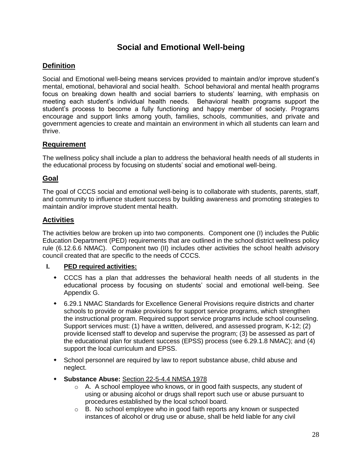# **Social and Emotional Well-being**

#### **Definition**

Social and Emotional well-being means services provided to maintain and/or improve student's mental, emotional, behavioral and social health. School behavioral and mental health programs focus on breaking down health and social barriers to students' learning, with emphasis on meeting each student's individual health needs. Behavioral health programs support the student's process to become a fully functioning and happy member of society. Programs encourage and support links among youth, families, schools, communities, and private and government agencies to create and maintain an environment in which all students can learn and thrive.

#### **Requirement**

The wellness policy shall include a plan to address the behavioral health needs of all students in the educational process by focusing on students' social and emotional well-being.

#### **Goal**

The goal of CCCS social and emotional well-being is to collaborate with students, parents, staff, and community to influence student success by building awareness and promoting strategies to maintain and/or improve student mental health.

#### **Activities**

The activities below are broken up into two components. Component one (I) includes the Public Education Department (PED) requirements that are outlined in the school district wellness policy rule (6.12.6.6 NMAC). Component two (II) includes other activities the school health advisory council created that are specific to the needs of CCCS.

#### **I. PED required activities:**

- CCCS has a plan that addresses the behavioral health needs of all students in the educational process by focusing on students' social and emotional well-being. See Appendix G.
- 6.29.1 NMAC Standards for Excellence General Provisions require districts and charter schools to provide or make provisions for support service programs, which strengthen the instructional program. Required support service programs include school counseling. Support services must: (1) have a written, delivered, and assessed program, K-12; (2) provide licensed staff to develop and supervise the program; (3) be assessed as part of the educational plan for student success (EPSS) process (see 6.29.1.8 NMAC); and (4) support the local curriculum and EPSS.
- School personnel are required by law to report substance abuse, child abuse and neglect.
- **Substance Abuse:** Section 22-5-4.4 NMSA 1978
	- $\circ$  A. A school employee who knows, or in good faith suspects, any student of using or abusing alcohol or drugs shall report such use or abuse pursuant to procedures established by the local school board.
	- o B. No school employee who in good faith reports any known or suspected instances of alcohol or drug use or abuse, shall be held liable for any civil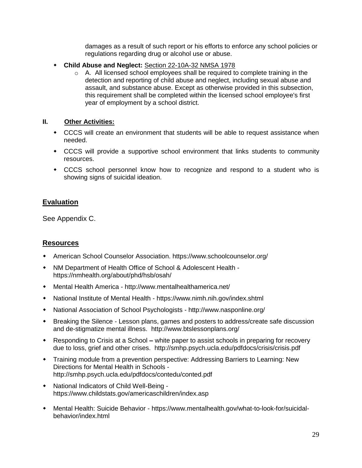damages as a result of such report or his efforts to enforce any school policies or regulations regarding drug or alcohol use or abuse.

- **Child Abuse and Neglect:** Section 22-10A-32 NMSA 1978
	- $\circ$  A. All licensed school employees shall be required to complete training in the detection and reporting of child abuse and neglect, including sexual abuse and assault, and substance abuse. Except as otherwise provided in this subsection, this requirement shall be completed within the licensed school employee's first year of employment by a school district.

#### **II. Other Activities:**

- CCCS will create an environment that students will be able to request assistance when needed.
- CCCS will provide a supportive school environment that links students to community resources.
- CCCS school personnel know how to recognize and respond to a student who is showing signs of suicidal ideation.

#### **Evaluation**

See Appendix C.

- American School Counselor Association. https://www.schoolcounselor.org/
- NM Department of Health Office of School & Adolescent Health https://nmhealth.org/about/phd/hsb/osah/
- Mental Health America http://www.mentalhealthamerica.net/
- National Institute of Mental Health https://www.nimh.nih.gov/index.shtml
- National Association of School Psychologists http://www.nasponline.org/
- Breaking the Silence Lesson plans, games and posters to address/create safe discussion and de-stigmatize mental illness. http://www.btslessonplans.org/
- Responding to Crisis at a School *–* white paper to assist schools in preparing for recovery due to loss, grief and other crises. http://smhp.psych.ucla.edu/pdfdocs/crisis/crisis.pdf
- Training module from a prevention perspective: Addressing Barriers to Learning: New Directions for Mental Health in Schools http://smhp.psych.ucla.edu/pdfdocs/contedu/conted.pdf
- National Indicators of Child Well-Being https://www.childstats.gov/americaschildren/index.asp
- Mental Health: Suicide Behavior https://www.mentalhealth.gov/what-to-look-for/suicidalbehavior/index.html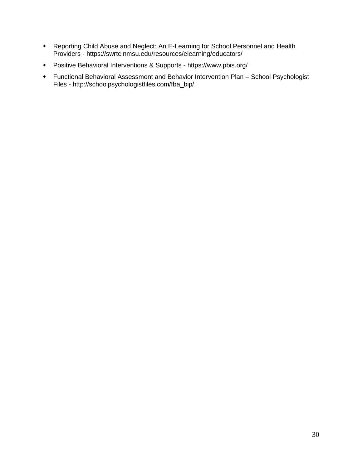- Reporting Child Abuse and Neglect: An E-Learning for School Personnel and Health Providers - https://swrtc.nmsu.edu/resources/elearning/educators/
- Positive Behavioral Interventions & Supports https://www.pbis.org/
- Functional Behavioral Assessment and Behavior Intervention Plan School Psychologist Files - http://schoolpsychologistfiles.com/fba\_bip/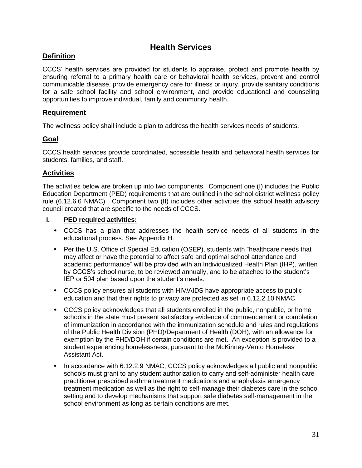# **Health Services**

#### **Definition**

CCCS' health services are provided for students to appraise, protect and promote health by ensuring referral to a primary health care or behavioral health services, prevent and control communicable disease, provide emergency care for illness or injury, provide sanitary conditions for a safe school facility and school environment, and provide educational and counseling opportunities to improve individual, family and community health.

#### **Requirement**

The wellness policy shall include a plan to address the health services needs of students.

#### **Goal**

CCCS health services provide coordinated, accessible health and behavioral health services for students, families, and staff.

#### **Activities**

The activities below are broken up into two components. Component one (I) includes the Public Education Department (PED) requirements that are outlined in the school district wellness policy rule (6.12.6.6 NMAC). Component two (II) includes other activities the school health advisory council created that are specific to the needs of CCCS.

#### **I. PED required activities:**

- CCCS has a plan that addresses the health service needs of all students in the educational process. See Appendix H.
- Per the U.S. Office of Special Education (OSEP), students with "healthcare needs that may affect or have the potential to affect safe and optimal school attendance and academic performance" will be provided with an Individualized Health Plan (IHP), written by CCCS's school nurse, to be reviewed annually, and to be attached to the student's IEP or 504 plan based upon the student's needs.
- CCCS policy ensures all students with HIV/AIDS have appropriate access to public education and that their rights to privacy are protected as set in 6.12.2.10 NMAC.
- CCCS policy acknowledges that all students enrolled in the public, nonpublic, or home schools in the state must present satisfactory evidence of commencement or completion of immunization in accordance with the immunization schedule and rules and regulations of the Public Health Division (PHD)/Department of Health (DOH), with an allowance for exemption by the PHD/DOH if certain conditions are met. An exception is provided to a student experiencing homelessness, pursuant to the McKinney-Vento Homeless Assistant Act.
- In accordance with 6.12.2.9 NMAC, CCCS policy acknowledges all public and nonpublic schools must grant to any student authorization to carry and self-administer health care practitioner prescribed asthma treatment medications and anaphylaxis emergency treatment medication as well as the right to self-manage their diabetes care in the school setting and to develop mechanisms that support safe diabetes self-management in the school environment as long as certain conditions are met.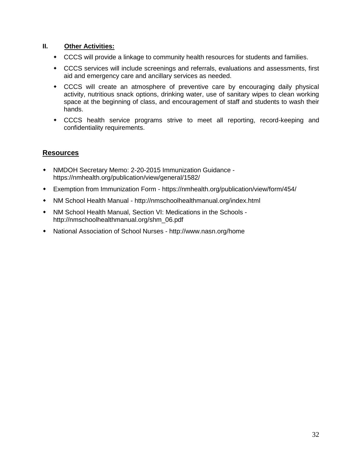#### **II. Other Activities:**

- CCCS will provide a linkage to community health resources for students and families.
- CCCS services will include screenings and referrals, evaluations and assessments, first aid and emergency care and ancillary services as needed.
- CCCS will create an atmosphere of preventive care by encouraging daily physical activity, nutritious snack options, drinking water, use of sanitary wipes to clean working space at the beginning of class, and encouragement of staff and students to wash their hands.
- CCCS health service programs strive to meet all reporting, record-keeping and confidentiality requirements.

- NMDOH Secretary Memo: 2-20-2015 Immunization Guidance https://nmhealth.org/publication/view/general/1582/
- Exemption from Immunization Form https://nmhealth.org/publication/view/form/454/
- NM School Health Manual http://nmschoolhealthmanual.org/index.html
- NM School Health Manual, Section VI: Medications in the Schools http://nmschoolhealthmanual.org/shm\_06.pdf
- National Association of School Nurses http://www.nasn.org/home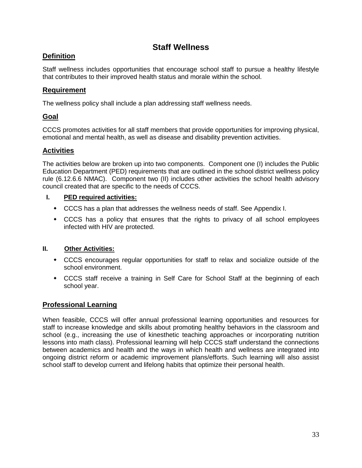# **Staff Wellness**

### **Definition**

Staff wellness includes opportunities that encourage school staff to pursue a healthy lifestyle that contributes to their improved health status and morale within the school.

#### **Requirement**

The wellness policy shall include a plan addressing staff wellness needs.

# **Goal**

CCCS promotes activities for all staff members that provide opportunities for improving physical, emotional and mental health, as well as disease and disability prevention activities.

### **Activities**

The activities below are broken up into two components. Component one (I) includes the Public Education Department (PED) requirements that are outlined in the school district wellness policy rule (6.12.6.6 NMAC). Component two (II) includes other activities the school health advisory council created that are specific to the needs of CCCS.

#### **I. PED required activities:**

- CCCS has a plan that addresses the wellness needs of staff. See Appendix I.
- CCCS has a policy that ensures that the rights to privacy of all school employees infected with HIV are protected.

#### **II. Other Activities:**

- CCCS encourages regular opportunities for staff to relax and socialize outside of the school environment.
- CCCS staff receive a training in Self Care for School Staff at the beginning of each school year.

# **Professional Learning**

When feasible, CCCS will offer annual professional learning opportunities and resources for staff to increase knowledge and skills about promoting healthy behaviors in the classroom and school (e.g., increasing the use of kinesthetic teaching approaches or incorporating nutrition lessons into math class). Professional learning will help CCCS staff understand the connections between academics and health and the ways in which health and wellness are integrated into ongoing district reform or academic improvement plans/efforts. Such learning will also assist school staff to develop current and lifelong habits that optimize their personal health.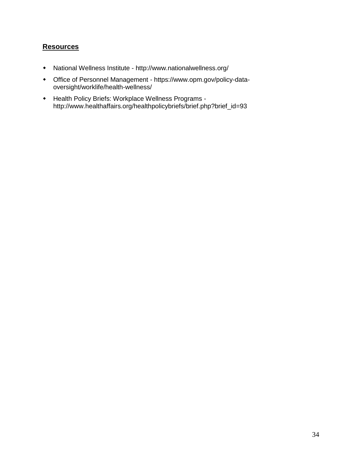- National Wellness Institute http://www.nationalwellness.org/
- Office of Personnel Management https://www.opm.gov/policy-dataoversight/worklife/health-wellness/
- Health Policy Briefs: Workplace Wellness Programs http://www.healthaffairs.org/healthpolicybriefs/brief.php?brief\_id=93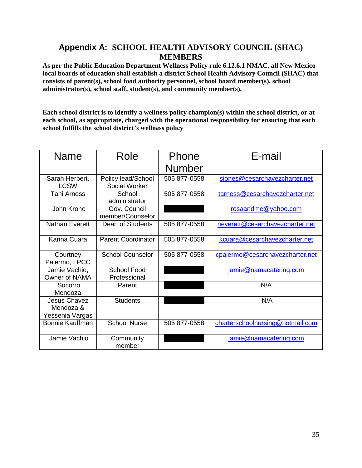# **Appendix A: SCHOOL HEALTH ADVISORY COUNCIL (SHAC) MEMBERS**

**As per the Public Education Department Wellness Policy rule 6.12.6.1 NMAC, all New Mexico local boards of education shall establish a district School Health Advisory Council (SHAC) that consists of parent(s), school food authority personnel, school board member(s), school administrator(s), school staff, student(s), and community member(s).** 

**Each school district is to identify a wellness policy champion(s) within the school district, or at each school, as appropriate, charged with the operational responsibility for ensuring that each school fulfills the school district's wellness policy**

| Name                                         | Role                                | Phone         | E-mail                           |
|----------------------------------------------|-------------------------------------|---------------|----------------------------------|
|                                              |                                     | <b>Number</b> |                                  |
| Sarah Herbert,<br><b>LCSW</b>                | Policy lead/School<br>Social Worker | 505 877-0558  | sjones@cesarchavezcharter.net    |
| <b>Tani Arness</b>                           | School<br>administrator             | 505 877-0558  | tarness@cesarchavezcharter.net   |
| John Krone                                   | Gov. Council<br>member/Counselor    |               | rosaandme@yahoo.com              |
| <b>Nathan Everett</b>                        | Dean of Students                    | 505 877-0558  | neverett@cesarchavezcharter.net  |
| Karina Cuara                                 | <b>Parent Coordinator</b>           | 505 877-0558  | kcuara@cesarchavezcharter.net    |
| Courtney<br>Palermo, LPCC                    | <b>School Counselor</b>             | 505 877-0558  | cpalermo@cesarchavezcharter.net  |
| Jamie Vachio,<br>Owner of NAMA               | <b>School Food</b><br>Professional  |               | jamie@namacatering.com           |
| Socorro<br>Mendoza                           | Parent                              |               | N/A                              |
| Jesus Chavez<br>Mendoza &<br>Yessenia Vargas | <b>Students</b>                     |               | N/A                              |
| <b>Bonnie Kauffman</b>                       | <b>School Nurse</b>                 | 505 877-0558  | charterschoolnursing@hotmail.com |
| Jamie Vachio                                 | Community<br>member                 |               | jamie@namacatering.com           |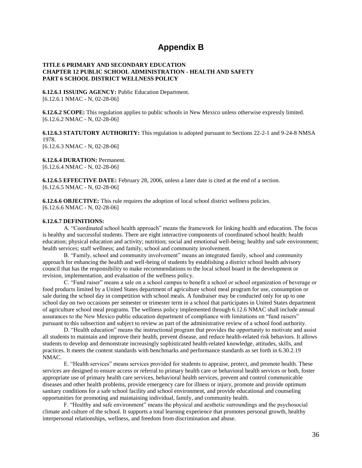# **Appendix B**

#### **TITLE 6 PRIMARY AND SECONDARY EDUCATION CHAPTER 12 PUBLIC SCHOOL ADMINISTRATION - HEALTH AND SAFETY PART 6 SCHOOL DISTRICT WELLNESS POLICY**

**6.12.6.1 ISSUING AGENCY:** Public Education Department. [6.12.6.1 NMAC - N, 02-28-06]

**6.12.6.2 SCOPE:** This regulation applies to public schools in New Mexico unless otherwise expressly limited. [6.12.6.2 NMAC - N, 02-28-06]

**6.12.6.3 STATUTORY AUTHORITY:** This regulation is adopted pursuant to Sections 22-2-1 and 9-24-8 NMSA 1978. [6.12.6.3 NMAC - N, 02-28-06]

**6.12.6.4 DURATION:** Permanent. [6.12.6.4 NMAC - N, 02-28-06]

**6.12.6.5 EFFECTIVE DATE:** February 28, 2006, unless a later date is cited at the end of a section. [6.12.6.5 NMAC - N, 02-28-06]

**6.12.6.6 OBJECTIVE:** This rule requires the adoption of local school district wellness policies. [6.12.6.6 NMAC - N, 02-28-06]

#### **6.12.6.7 DEFINITIONS:**

A. "Coordinated school health approach" means the framework for linking health and education. The focus is healthy and successful students. There are eight interactive components of coordinated school health: health education; physical education and activity; nutrition; social and emotional well-being; healthy and safe environment; health services; staff wellness; and family, school and community involvement.

B. "Family, school and community involvement" means an integrated family, school and community approach for enhancing the health and well-being of students by establishing a district school health advisory council that has the responsibility to make recommendations to the local school board in the development or revision, implementation, and evaluation of the wellness policy.

C. "Fund raiser" means a sale on a school campus to benefit a school or school organization of beverage or food products limited by a United States department of agriculture school meal program for use, consumption or sale during the school day in competition with school meals. A fundraiser may be conducted only for up to one school day on two occasions per semester or trimester term in a school that participates in United States department of agriculture school meal programs. The wellness policy implemented through 6.12.6 NMAC shall include annual assurances to the New Mexico public education department of compliance with limitations on "fund raisers" pursuant to this subsection and subject to review as part of the administrative review of a school food authority.

D. "Health education" means the instructional program that provides the opportunity to motivate and assist all students to maintain and improve their health, prevent disease, and reduce health-related risk behaviors. It allows students to develop and demonstrate increasingly sophisticated health-related knowledge, attitudes, skills, and practices. It meets the content standards with benchmarks and performance standards as set forth in 6.30.2.19 NMAC.

E. "Health services" means services provided for students to appraise, protect, and promote health. These services are designed to ensure access or referral to primary health care or behavioral health services or both, foster appropriate use of primary health care services, behavioral health services, prevent and control communicable diseases and other health problems, provide emergency care for illness or injury, promote and provide optimum sanitary conditions for a safe school facility and school environment, and provide educational and counseling opportunities for promoting and maintaining individual, family, and community health.

F. "Healthy and safe environment" means the physical and aesthetic surroundings and the psychosocial climate and culture of the school. It supports a total learning experience that promotes personal growth, healthy interpersonal relationships, wellness, and freedom from discrimination and abuse.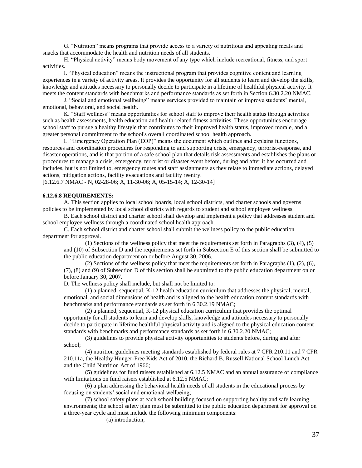G. "Nutrition" means programs that provide access to a variety of nutritious and appealing meals and snacks that accommodate the health and nutrition needs of all students.

H. "Physical activity" means body movement of any type which include recreational, fitness, and sport activities.

I. "Physical education" means the instructional program that provides cognitive content and learning experiences in a variety of activity areas. It provides the opportunity for all students to learn and develop the skills, knowledge and attitudes necessary to personally decide to participate in a lifetime of healthful physical activity. It meets the content standards with benchmarks and performance standards as set forth in Section 6.30.2.20 NMAC.

J. "Social and emotional wellbeing" means services provided to maintain or improve students' mental, emotional, behavioral, and social health.

K. "Staff wellness" means opportunities for school staff to improve their health status through activities such as health assessments, health education and health-related fitness activities. These opportunities encourage school staff to pursue a healthy lifestyle that contributes to their improved health status, improved morale, and a greater personal commitment to the school's overall coordinated school health approach.

L. "Emergency Operation Plan (EOP)" means the document which outlines and explains functions, resources and coordination procedures for responding to and supporting crisis, emergency, terrorist-response, and disaster operations, and is that portion of a safe school plan that details risk assessments and establishes the plans or procedures to manage a crisis, emergency, terrorist or disaster event before, during and after it has occurred and includes, but is not limited to, emergency routes and staff assignments as they relate to immediate actions, delayed actions, mitigation actions, facility evacuations and facility reentry.

[6.12.6.7 NMAC - N, 02-28-06; A, 11-30-06; A, 05-15-14; A, 12-30-14]

#### **6.12.6.8 REQUIREMENTS:**

A. This section applies to local school boards, local school districts, and charter schools and governs policies to be implemented by local school districts with regards to student and school employee wellness.

B. Each school district and charter school shall develop and implement a policy that addresses student and school employee wellness through a coordinated school health approach.

C. Each school district and charter school shall submit the wellness policy to the public education department for approval.

(1) Sections of the wellness policy that meet the requirements set forth in Paragraphs (3), (4), (5) and (10) of Subsection D and the requirements set forth in Subsection E of this section shall be submitted to the public education department on or before August 30, 2006.

(2) Sections of the wellness policy that meet the requirements set forth in Paragraphs (1), (2), (6), (7), (8) and (9) of Subsection D of this section shall be submitted to the public education department on or before January 30, 2007.

D. The wellness policy shall include, but shall not be limited to:

(1) a planned, sequential, K-12 health education curriculum that addresses the physical, mental, emotional, and social dimensions of health and is aligned to the health education content standards with benchmarks and performance standards as set forth in 6.30.2.19 NMAC;

(2) a planned, sequential, K-12 physical education curriculum that provides the optimal opportunity for all students to learn and develop skills, knowledge and attitudes necessary to personally decide to participate in lifetime healthful physical activity and is aligned to the physical education content standards with benchmarks and performance standards as set forth in 6.30.2.20 NMAC;

(3) guidelines to provide physical activity opportunities to students before, during and after school;

(4) nutrition guidelines meeting standards established by federal rules at 7 CFR 210.11 and 7 CFR 210.11a, the Healthy Hunger-Free Kids Act of 2010, the Richard B. Russell National School Lunch Act and the Child Nutrition Act of 1966;

(5) guidelines for fund raisers established at 6.12.5 NMAC and an annual assurance of compliance with limitations on fund raisers established at 6.12.5 NMAC;

(6) a plan addressing the behavioral health needs of all students in the educational process by focusing on students' social and emotional wellbeing;

(7) school safety plans at each school building focused on supporting healthy and safe learning environments; the school safety plan must be submitted to the public education department for approval on a three-year cycle and must include the following minimum components:

(a) introduction;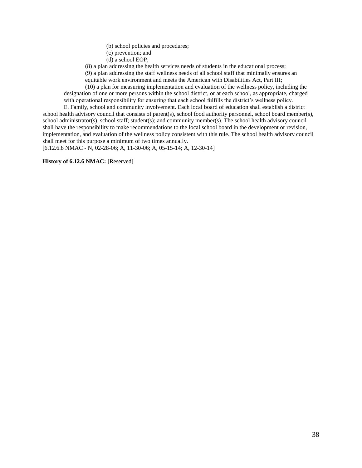- (b) school policies and procedures;
- (c) prevention; and
- (d) a school EOP;

(8) a plan addressing the health services needs of students in the educational process;

(9) a plan addressing the staff wellness needs of all school staff that minimally ensures an equitable work environment and meets the American with Disabilities Act, Part III;

(10) a plan for measuring implementation and evaluation of the wellness policy, including the designation of one or more persons within the school district, or at each school, as appropriate, charged with operational responsibility for ensuring that each school fulfills the district's wellness policy.

E. Family, school and community involvement. Each local board of education shall establish a district school health advisory council that consists of parent(s), school food authority personnel, school board member(s), school administrator(s), school staff; student(s); and community member(s). The school health advisory council shall have the responsibility to make recommendations to the local school board in the development or revision, implementation, and evaluation of the wellness policy consistent with this rule. The school health advisory council shall meet for this purpose a minimum of two times annually.

[6.12.6.8 NMAC - N, 02-28-06; A, 11-30-06; A, 05-15-14; A, 12-30-14]

#### **History of 6.12.6 NMAC:** [Reserved]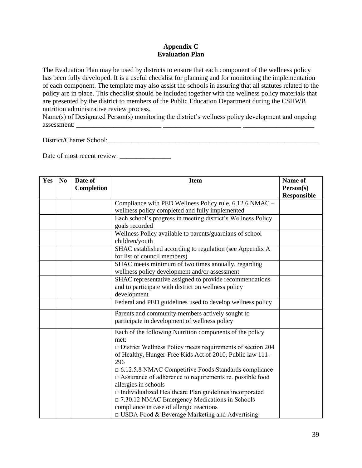#### **Appendix C Evaluation Plan**

The Evaluation Plan may be used by districts to ensure that each component of the wellness policy has been fully developed. It is a useful checklist for planning and for monitoring the implementation of each component. The template may also assist the schools in assuring that all statutes related to the policy are in place. This checklist should be included together with the wellness policy materials that are presented by the district to members of the Public Education Department during the CSHWB nutrition administrative review process.

Name(s) of Designated Person(s) monitoring the district's wellness policy development and ongoing assessment:

District/Charter School:\_\_\_\_\_\_\_\_\_\_\_\_\_\_\_\_\_\_\_\_\_\_\_\_\_\_\_\_\_\_\_\_\_\_\_\_\_\_\_\_\_\_\_\_\_\_\_\_\_\_\_\_\_\_\_\_\_\_\_\_\_\_

Date of most recent review: \_\_\_\_\_\_\_\_\_\_\_\_\_\_\_

| Yes | N <sub>0</sub> | Date of           | <b>Item</b>                                                                           | Name of            |
|-----|----------------|-------------------|---------------------------------------------------------------------------------------|--------------------|
|     |                | <b>Completion</b> |                                                                                       | Person(s)          |
|     |                |                   |                                                                                       | <b>Responsible</b> |
|     |                |                   | Compliance with PED Wellness Policy rule, 6.12.6 NMAC -                               |                    |
|     |                |                   | wellness policy completed and fully implemented                                       |                    |
|     |                |                   | Each school's progress in meeting district's Wellness Policy                          |                    |
|     |                |                   | goals recorded                                                                        |                    |
|     |                |                   | Wellness Policy available to parents/guardians of school                              |                    |
|     |                |                   | children/youth                                                                        |                    |
|     |                |                   | SHAC established according to regulation (see Appendix A                              |                    |
|     |                |                   | for list of council members)                                                          |                    |
|     |                |                   | SHAC meets minimum of two times annually, regarding                                   |                    |
|     |                |                   | wellness policy development and/or assessment                                         |                    |
|     |                |                   | SHAC representative assigned to provide recommendations                               |                    |
|     |                |                   | and to participate with district on wellness policy                                   |                    |
|     |                |                   | development                                                                           |                    |
|     |                |                   | Federal and PED guidelines used to develop wellness policy                            |                    |
|     |                |                   | Parents and community members actively sought to                                      |                    |
|     |                |                   | participate in development of wellness policy                                         |                    |
|     |                |                   | Each of the following Nutrition components of the policy                              |                    |
|     |                |                   | met:                                                                                  |                    |
|     |                |                   | $\square$ District Wellness Policy meets requirements of section 204                  |                    |
|     |                |                   | of Healthy, Hunger-Free Kids Act of 2010, Public law 111-                             |                    |
|     |                |                   | 296                                                                                   |                    |
|     |                |                   | $\Box$ 6.12.5.8 NMAC Competitive Foods Standards compliance                           |                    |
|     |                |                   | $\Box$ Assurance of adherence to requirements re. possible food                       |                    |
|     |                |                   | allergies in schools<br>$\Box$ Individualized Healthcare Plan guidelines incorporated |                    |
|     |                |                   | $\Box$ 7.30.12 NMAC Emergency Medications in Schools                                  |                    |
|     |                |                   | compliance in case of allergic reactions                                              |                    |
|     |                |                   | $\Box$ USDA Food & Beverage Marketing and Advertising                                 |                    |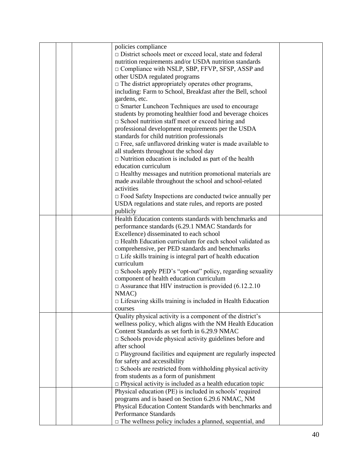|  | policies compliance                                                 |  |
|--|---------------------------------------------------------------------|--|
|  | $\Box$ District schools meet or exceed local, state and federal     |  |
|  | nutrition requirements and/or USDA nutrition standards              |  |
|  | $\Box$ Compliance with NSLP, SBP, FFVP, SFSP, ASSP and              |  |
|  | other USDA regulated programs                                       |  |
|  |                                                                     |  |
|  | $\Box$ The district appropriately operates other programs,          |  |
|  | including: Farm to School, Breakfast after the Bell, school         |  |
|  | gardens, etc.                                                       |  |
|  | $\square$ Smarter Luncheon Techniques are used to encourage         |  |
|  | students by promoting healthier food and beverage choices           |  |
|  | $\Box$ School nutrition staff meet or exceed hiring and             |  |
|  | professional development requirements per the USDA                  |  |
|  |                                                                     |  |
|  | standards for child nutrition professionals                         |  |
|  | $\Box$ Free, safe unflavored drinking water is made available to    |  |
|  | all students throughout the school day                              |  |
|  | $\Box$ Nutrition education is included as part of the health        |  |
|  | education curriculum                                                |  |
|  | $\Box$ Healthy messages and nutrition promotional materials are     |  |
|  | made available throughout the school and school-related             |  |
|  | activities                                                          |  |
|  | □ Food Safety Inspections are conducted twice annually per          |  |
|  |                                                                     |  |
|  | USDA regulations and state rules, and reports are posted            |  |
|  | publicly                                                            |  |
|  | Health Education contents standards with benchmarks and             |  |
|  | performance standards (6.29.1 NMAC Standards for                    |  |
|  | Excellence) disseminated to each school                             |  |
|  | $\Box$ Health Education curriculum for each school validated as     |  |
|  | comprehensive, per PED standards and benchmarks                     |  |
|  | $\Box$ Life skills training is integral part of health education    |  |
|  | curriculum                                                          |  |
|  | $\square$ Schools apply PED's "opt-out" policy, regarding sexuality |  |
|  |                                                                     |  |
|  | component of health education curriculum                            |  |
|  | $\Box$ Assurance that HIV instruction is provided (6.12.2.10)       |  |
|  | NMAC)                                                               |  |
|  | $\Box$ Lifesaving skills training is included in Health Education   |  |
|  | courses                                                             |  |
|  | Quality physical activity is a component of the district's          |  |
|  | wellness policy, which aligns with the NM Health Education          |  |
|  | Content Standards as set forth in 6.29.9 NMAC                       |  |
|  | $\square$ Schools provide physical activity guidelines before and   |  |
|  | after school                                                        |  |
|  |                                                                     |  |
|  | $\Box$ Playground facilities and equipment are regularly inspected  |  |
|  | for safety and accessibility                                        |  |
|  | $\square$ Schools are restricted from withholding physical activity |  |
|  | from students as a form of punishment                               |  |
|  | $\Box$ Physical activity is included as a health education topic    |  |
|  | Physical education (PE) is included in schools' required            |  |
|  | programs and is based on Section 6.29.6 NMAC, NM                    |  |
|  | Physical Education Content Standards with benchmarks and            |  |
|  | <b>Performance Standards</b>                                        |  |
|  | $\Box$ The wellness policy includes a planned, sequential, and      |  |
|  |                                                                     |  |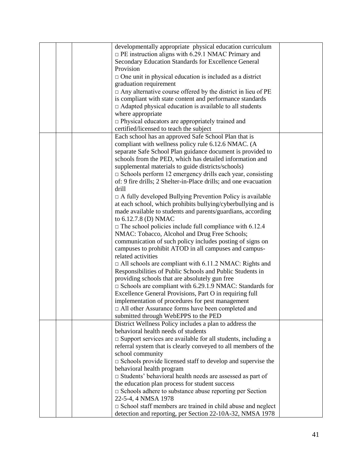|  | developmentally appropriate physical education curriculum              |  |
|--|------------------------------------------------------------------------|--|
|  | $\Box$ PE instruction aligns with 6.29.1 NMAC Primary and              |  |
|  | Secondary Education Standards for Excellence General                   |  |
|  | Provision                                                              |  |
|  | $\Box$ One unit in physical education is included as a district        |  |
|  | graduation requirement                                                 |  |
|  | $\Box$ Any alternative course offered by the district in lieu of PE    |  |
|  | is compliant with state content and performance standards              |  |
|  | $\Box$ Adapted physical education is available to all students         |  |
|  | where appropriate                                                      |  |
|  | $\Box$ Physical educators are appropriately trained and                |  |
|  | certified/licensed to teach the subject                                |  |
|  | Each school has an approved Safe School Plan that is                   |  |
|  | compliant with wellness policy rule 6.12.6 NMAC. (A                    |  |
|  | separate Safe School Plan guidance document is provided to             |  |
|  |                                                                        |  |
|  | schools from the PED, which has detailed information and               |  |
|  | supplemental materials to guide districts/schools)                     |  |
|  | $\Box$ Schools perform 12 emergency drills each year, consisting       |  |
|  | of: 9 fire drills; 2 Shelter-in-Place drills; and one evacuation       |  |
|  | drill                                                                  |  |
|  | $\Box$ A fully developed Bullying Prevention Policy is available       |  |
|  | at each school, which prohibits bullying/cyberbullying and is          |  |
|  | made available to students and parents/guardians, according            |  |
|  | to 6.12.7.8 (D) NMAC                                                   |  |
|  | $\Box$ The school policies include full compliance with 6.12.4         |  |
|  | NMAC: Tobacco, Alcohol and Drug Free Schools;                          |  |
|  | communication of such policy includes posting of signs on              |  |
|  | campuses to prohibit ATOD in all campuses and campus-                  |  |
|  | related activities                                                     |  |
|  | $\Box$ All schools are compliant with 6.11.2 NMAC: Rights and          |  |
|  | Responsibilities of Public Schools and Public Students in              |  |
|  | providing schools that are absolutely gun free                         |  |
|  | $\Box$ Schools are compliant with 6.29.1.9 NMAC: Standards for         |  |
|  | Excellence General Provisions, Part O in requiring full                |  |
|  | implementation of procedures for pest management                       |  |
|  | In All other Assurance forms have been completed and                   |  |
|  | submitted through WebEPPS to the PED                                   |  |
|  | District Wellness Policy includes a plan to address the                |  |
|  | behavioral health needs of students                                    |  |
|  | $\square$ Support services are available for all students, including a |  |
|  | referral system that is clearly conveyed to all members of the         |  |
|  | school community                                                       |  |
|  | $\square$ Schools provide licensed staff to develop and supervise the  |  |
|  | behavioral health program                                              |  |
|  | $\square$ Students' behavioral health needs are assessed as part of    |  |
|  | the education plan process for student success                         |  |
|  | $\square$ Schools adhere to substance abuse reporting per Section      |  |
|  | 22-5-4, 4 NMSA 1978                                                    |  |
|  | $\square$ School staff members are trained in child abuse and neglect  |  |
|  | detection and reporting, per Section 22-10A-32, NMSA 1978              |  |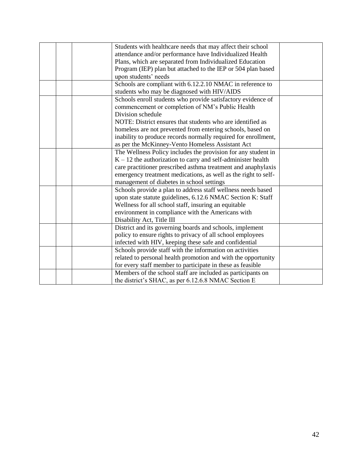|  | Students with healthcare needs that may affect their school    |  |
|--|----------------------------------------------------------------|--|
|  | attendance and/or performance have Individualized Health       |  |
|  | Plans, which are separated from Individualized Education       |  |
|  | Program (IEP) plan but attached to the IEP or 504 plan based   |  |
|  | upon students' needs                                           |  |
|  | Schools are compliant with 6.12.2.10 NMAC in reference to      |  |
|  | students who may be diagnosed with HIV/AIDS                    |  |
|  | Schools enroll students who provide satisfactory evidence of   |  |
|  | commencement or completion of NM's Public Health               |  |
|  | Division schedule                                              |  |
|  | NOTE: District ensures that students who are identified as     |  |
|  | homeless are not prevented from entering schools, based on     |  |
|  | inability to produce records normally required for enrollment, |  |
|  | as per the McKinney-Vento Homeless Assistant Act               |  |
|  | The Wellness Policy includes the provision for any student in  |  |
|  | $K - 12$ the authorization to carry and self-administer health |  |
|  | care practitioner prescribed asthma treatment and anaphylaxis  |  |
|  | emergency treatment medications, as well as the right to self- |  |
|  | management of diabetes in school settings                      |  |
|  | Schools provide a plan to address staff wellness needs based   |  |
|  | upon state statute guidelines, 6.12.6 NMAC Section K: Staff    |  |
|  | Wellness for all school staff, insuring an equitable           |  |
|  | environment in compliance with the Americans with              |  |
|  | Disability Act, Title III                                      |  |
|  | District and its governing boards and schools, implement       |  |
|  | policy to ensure rights to privacy of all school employees     |  |
|  | infected with HIV, keeping these safe and confidential         |  |
|  | Schools provide staff with the information on activities       |  |
|  | related to personal health promotion and with the opportunity  |  |
|  | for every staff member to participate in these as feasible     |  |
|  | Members of the school staff are included as participants on    |  |
|  | the district's SHAC, as per 6.12.6.8 NMAC Section E            |  |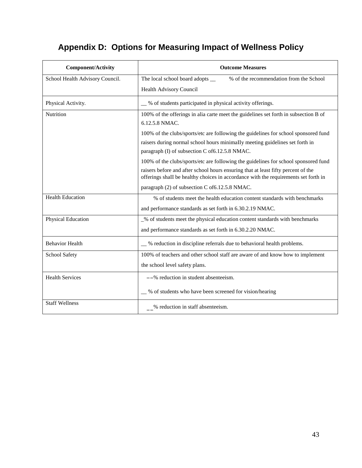# **Appendix D: Options for Measuring Impact of Wellness Policy**

| <b>Component/Activity</b>       | <b>Outcome Measures</b>                                                                                                                                                  |
|---------------------------------|--------------------------------------------------------------------------------------------------------------------------------------------------------------------------|
| School Health Advisory Council. | % of the recommendation from the School<br>The local school board adopts __                                                                                              |
|                                 | Health Advisory Council                                                                                                                                                  |
| Physical Activity.              | _% of students participated in physical activity offerings.                                                                                                              |
| Nutrition                       | 100% of the offerings in alia carte meet the guidelines set forth in subsection B of<br>6.12.5.8 NMAC.                                                                   |
|                                 |                                                                                                                                                                          |
|                                 | 100% of the clubs/sports/etc are following the guidelines for school sponsored fund                                                                                      |
|                                 | raisers during normal school hours minimally meeting guidelines set forth in<br>paragraph (I) of subsection C of 6.12.5.8 NMAC.                                          |
|                                 | 100% of the clubs/sports/etc are following the guidelines for school sponsored fund                                                                                      |
|                                 | raisers before and after school hours ensuring that at least fifty percent of the<br>offerings shall be healthy choices in accordance with the requirements set forth in |
|                                 | paragraph (2) of subsection C of 6.12.5.8 NMAC.                                                                                                                          |
| <b>Health Education</b>         | % of students meet the health education content standards with benchmarks                                                                                                |
|                                 | and performance standards as set forth in 6.30.2.19 NMAC.                                                                                                                |
| Physical Education              | _% of students meet the physical education content standards with benchmarks                                                                                             |
|                                 | and performance standards as set forth in 6.30.2.20 NMAC.                                                                                                                |
| <b>Behavior Health</b>          | __ % reduction in discipline referrals due to behavioral health problems.                                                                                                |
| School Safety                   | 100% of teachers and other school staff are aware of and know how to implement                                                                                           |
|                                 | the school level safety plans.                                                                                                                                           |
| <b>Health Services</b>          | $-\frac{6}{6}$ reduction in student absenteeism.                                                                                                                         |
|                                 | _% of students who have been screened for vision/hearing                                                                                                                 |
| <b>Staff Wellness</b>           | $\frac{9}{2}$ reduction in staff absenteeism.                                                                                                                            |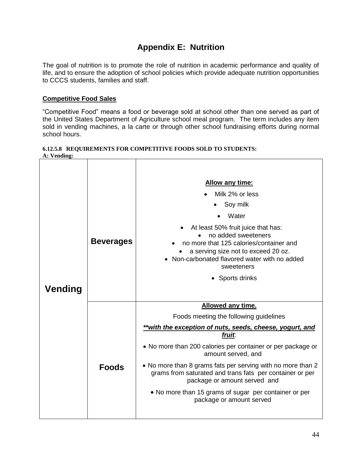# **Appendix E: Nutrition**

The goal of nutrition is to promote the role of nutrition in academic performance and quality of life, and to ensure the adoption of school policies which provide adequate nutrition opportunities to CCCS students, families and staff.

#### **Competitive Food Sales**

"Competitive Food" means a food or beverage sold at school other than one served as part of the United States Department of Agriculture school meal program. The term includes any item sold in vending machines, a la carte or through other school fundraising efforts during normal school hours.

| $\bf{A}$ . vending. |                  |                                                                                                                                                                                                                                                                                                                                                                                                                                                                               |
|---------------------|------------------|-------------------------------------------------------------------------------------------------------------------------------------------------------------------------------------------------------------------------------------------------------------------------------------------------------------------------------------------------------------------------------------------------------------------------------------------------------------------------------|
| <b>Vending</b>      | <b>Beverages</b> | Allow any time:<br>Milk 2% or less<br>Soy milk<br>Water<br>At least 50% fruit juice that has:<br>no added sweeteners<br>no more that 125 calories/container and<br>a serving size not to exceed 20 oz.<br>Non-carbonated flavored water with no added<br>sweeteners<br>• Sports drinks                                                                                                                                                                                        |
|                     | <b>Foods</b>     | <b>Allowed any time.</b><br>Foods meeting the following guidelines<br>**with the exception of nuts, seeds, cheese, yogurt, and<br>fruit.<br>• No more than 200 calories per container or per package or<br>amount served, and<br>• No more than 8 grams fats per serving with no more than 2<br>grams from saturated and trans fats per container or per<br>package or amount served and<br>• No more than 15 grams of sugar per container or per<br>package or amount served |

#### **6.12.5.8 REQUIREMENTS FOR COMPETITIVE FOODS SOLD TO STUDENTS: A: Vending:**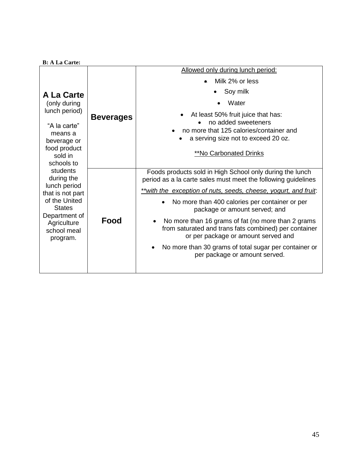|                                                                                                                                                                                                                                            |                  | Allowed only during lunch period:                                                                                                                  |
|--------------------------------------------------------------------------------------------------------------------------------------------------------------------------------------------------------------------------------------------|------------------|----------------------------------------------------------------------------------------------------------------------------------------------------|
|                                                                                                                                                                                                                                            | <b>Beverages</b> | Milk 2% or less                                                                                                                                    |
| <b>A La Carte</b>                                                                                                                                                                                                                          |                  | Soy milk                                                                                                                                           |
| (only during                                                                                                                                                                                                                               |                  | Water                                                                                                                                              |
| lunch period)                                                                                                                                                                                                                              |                  | At least 50% fruit juice that has:                                                                                                                 |
| "A la carte"<br>means a<br>beverage or<br>food product<br>sold in<br>schools to<br>students<br>during the<br>lunch period<br>that is not part<br>of the United<br><b>States</b><br>Department of<br>Agriculture<br>school meal<br>program. |                  | no added sweeteners<br>no more that 125 calories/container and<br>a serving size not to exceed 20 oz.<br><b>**No Carbonated Drinks</b>             |
|                                                                                                                                                                                                                                            | Food             | Foods products sold in High School only during the lunch<br>period as a la carte sales must meet the following guidelines                          |
|                                                                                                                                                                                                                                            |                  | **with the exception of nuts, seeds, cheese, yogurt, and fruit:                                                                                    |
|                                                                                                                                                                                                                                            |                  | No more than 400 calories per container or per<br>package or amount served; and                                                                    |
|                                                                                                                                                                                                                                            |                  | No more than 16 grams of fat (no more than 2 grams<br>from saturated and trans fats combined) per container<br>or per package or amount served and |
|                                                                                                                                                                                                                                            |                  | No more than 30 grams of total sugar per container or<br>per package or amount served.                                                             |
|                                                                                                                                                                                                                                            |                  |                                                                                                                                                    |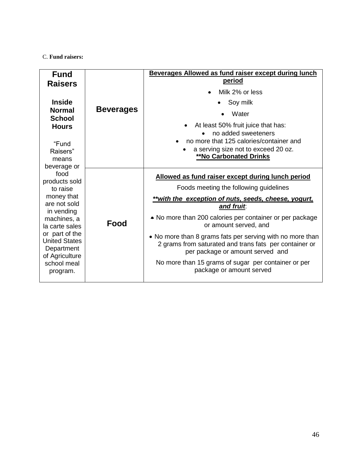#### C. **Fund raisers:**

| <b>Fund</b><br><b>Raisers</b>                                                                                                                                                                                                                                                    |                  | Beverages Allowed as fund raiser except during lunch<br><u>period</u><br>Milk 2% or less                                                                                                                                                                                                                                                                                                                                                                                                             |
|----------------------------------------------------------------------------------------------------------------------------------------------------------------------------------------------------------------------------------------------------------------------------------|------------------|------------------------------------------------------------------------------------------------------------------------------------------------------------------------------------------------------------------------------------------------------------------------------------------------------------------------------------------------------------------------------------------------------------------------------------------------------------------------------------------------------|
| <b>Inside</b>                                                                                                                                                                                                                                                                    | <b>Beverages</b> | Soy milk                                                                                                                                                                                                                                                                                                                                                                                                                                                                                             |
| <b>Normal</b><br><b>School</b>                                                                                                                                                                                                                                                   |                  | Water                                                                                                                                                                                                                                                                                                                                                                                                                                                                                                |
| <b>Hours</b><br>"Fund<br>Raisers"<br>means<br>beverage or<br>food<br>products sold<br>to raise<br>money that<br>are not sold<br>in vending<br>machines, a<br>la carte sales<br>or part of the<br><b>United States</b><br>Department<br>of Agriculture<br>school meal<br>program. |                  | At least 50% fruit juice that has:<br>no added sweeteners<br>no more that 125 calories/container and<br>a serving size not to exceed 20 oz.<br>**No Carbonated Drinks                                                                                                                                                                                                                                                                                                                                |
|                                                                                                                                                                                                                                                                                  | Food             | Allowed as fund raiser except during lunch period<br>Foods meeting the following guidelines<br>**with the exception of nuts, seeds, cheese, yogurt,<br>and fruit.<br>• No more than 200 calories per container or per package<br>or amount served, and<br>• No more than 8 grams fats per serving with no more than<br>2 grams from saturated and trans fats per container or<br>per package or amount served and<br>No more than 15 grams of sugar per container or per<br>package or amount served |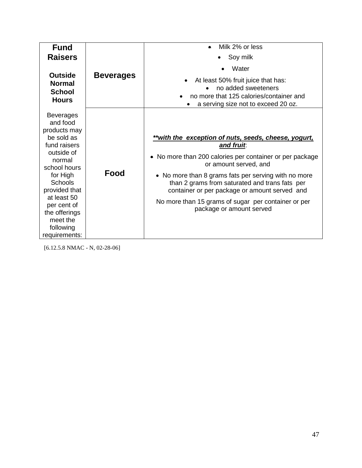| <b>Fund</b>                                                                                                                                                                                                                                                |                  | Milk 2% or less                                                                                                                                                                                                                                                                                                                                                                                     |
|------------------------------------------------------------------------------------------------------------------------------------------------------------------------------------------------------------------------------------------------------------|------------------|-----------------------------------------------------------------------------------------------------------------------------------------------------------------------------------------------------------------------------------------------------------------------------------------------------------------------------------------------------------------------------------------------------|
| <b>Raisers</b>                                                                                                                                                                                                                                             |                  | Soy milk                                                                                                                                                                                                                                                                                                                                                                                            |
|                                                                                                                                                                                                                                                            | <b>Beverages</b> | Water                                                                                                                                                                                                                                                                                                                                                                                               |
| <b>Outside</b><br><b>Normal</b><br><b>School</b><br><b>Hours</b>                                                                                                                                                                                           |                  | At least 50% fruit juice that has:<br>no added sweeteners<br>no more that 125 calories/container and<br>a serving size not to exceed 20 oz.                                                                                                                                                                                                                                                         |
| <b>Beverages</b><br>and food<br>products may<br>be sold as<br>fund raisers<br>outside of<br>normal<br>school hours<br>for High<br><b>Schools</b><br>provided that<br>at least 50<br>per cent of<br>the offerings<br>meet the<br>following<br>requirements: | Food             | **with the exception of nuts, seeds, cheese, yogurt,<br>and fruit.<br>No more than 200 calories per container or per package<br>or amount served, and<br>• No more than 8 grams fats per serving with no more<br>than 2 grams from saturated and trans fats per<br>container or per package or amount served and<br>No more than 15 grams of sugar per container or per<br>package or amount served |

[6.12.5.8 NMAC - N, 02-28-06]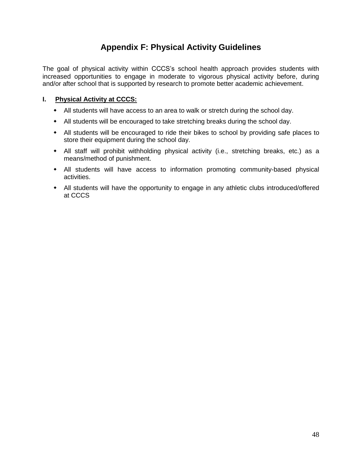# **Appendix F: Physical Activity Guidelines**

The goal of physical activity within CCCS's school health approach provides students with increased opportunities to engage in moderate to vigorous physical activity before, during and/or after school that is supported by research to promote better academic achievement.

#### **I. Physical Activity at CCCS:**

- All students will have access to an area to walk or stretch during the school day.
- All students will be encouraged to take stretching breaks during the school day.
- All students will be encouraged to ride their bikes to school by providing safe places to store their equipment during the school day.
- All staff will prohibit withholding physical activity (i.e., stretching breaks, etc.) as a means/method of punishment.
- All students will have access to information promoting community-based physical activities.
- All students will have the opportunity to engage in any athletic clubs introduced/offered at CCCS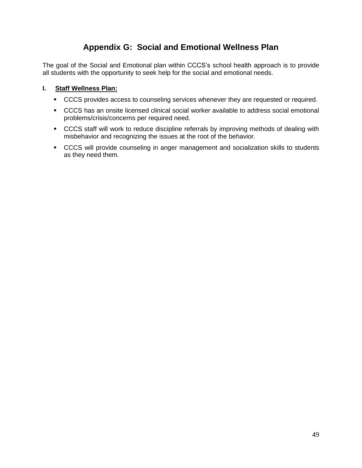# **Appendix G: Social and Emotional Wellness Plan**

The goal of the Social and Emotional plan within CCCS's school health approach is to provide all students with the opportunity to seek help for the social and emotional needs.

#### **I. Staff Wellness Plan:**

- CCCS provides access to counseling services whenever they are requested or required.
- CCCS has an onsite licensed clinical social worker available to address social emotional problems/crisis/concerns per required need.
- CCCS staff will work to reduce discipline referrals by improving methods of dealing with misbehavior and recognizing the issues at the root of the behavior.
- CCCS will provide counseling in anger management and socialization skills to students as they need them.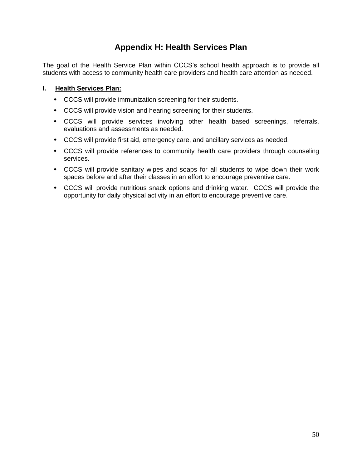# **Appendix H: Health Services Plan**

The goal of the Health Service Plan within CCCS's school health approach is to provide all students with access to community health care providers and health care attention as needed.

#### **I. Health Services Plan:**

- CCCS will provide immunization screening for their students.
- CCCS will provide vision and hearing screening for their students.
- CCCS will provide services involving other health based screenings, referrals, evaluations and assessments as needed.
- CCCS will provide first aid, emergency care, and ancillary services as needed.
- CCCS will provide references to community health care providers through counseling services.
- CCCS will provide sanitary wipes and soaps for all students to wipe down their work spaces before and after their classes in an effort to encourage preventive care.
- CCCS will provide nutritious snack options and drinking water. CCCS will provide the opportunity for daily physical activity in an effort to encourage preventive care.